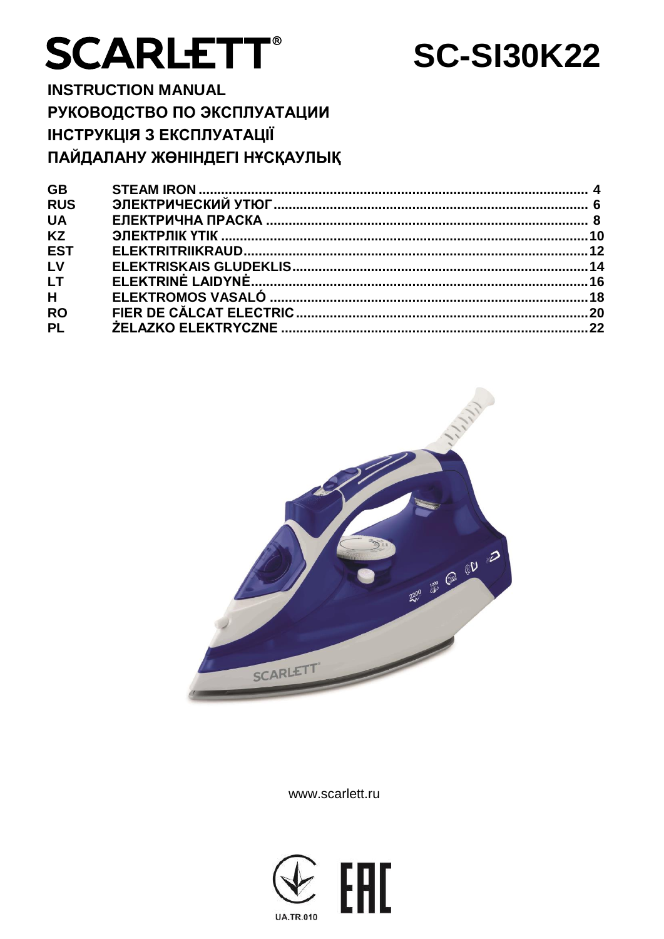# **SCARLETT®**

# **SC-SI30K22**

**INSTRUCTION MANUAL** РУКОВОДСТВО ПО ЭКСПЛУАТАЦИИ ІНСТРУКЦІЯ З ЕКСПЛУАТАЦІЇ ПАЙДАЛАНУ ЖӨНІНДЕГІ НҰСҚАУЛЫҚ

| <b>GB</b>      |  |
|----------------|--|
| <b>RUS</b>     |  |
| <b>UA</b>      |  |
| <b>KZ</b>      |  |
| <b>EST</b>     |  |
| L <sub>V</sub> |  |
| <b>LT</b>      |  |
| H              |  |
| <b>RO</b>      |  |
| <b>PL</b>      |  |
|                |  |



www.scarlett.ru

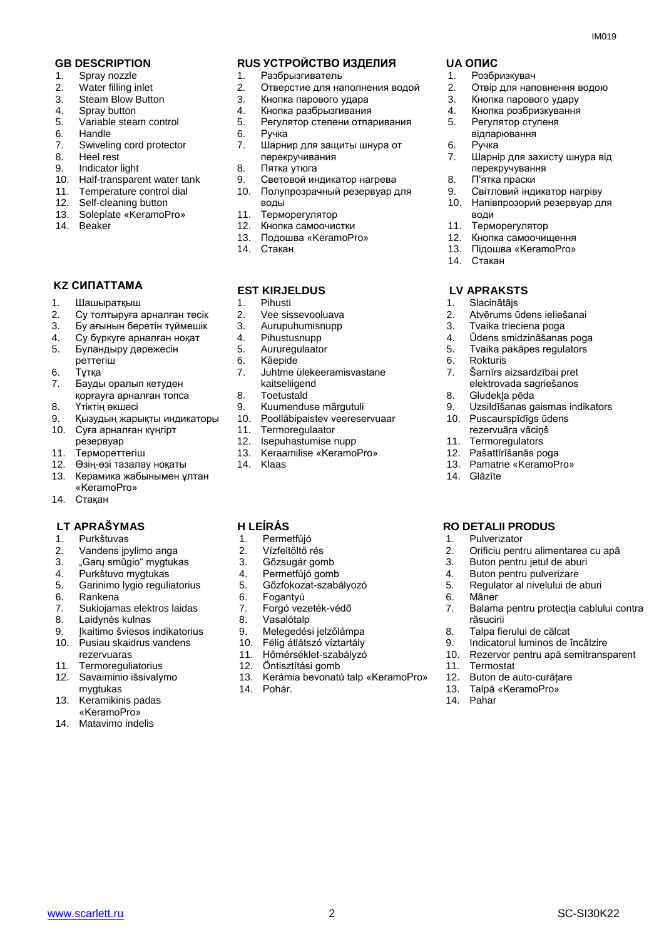- 1. Spray nozzle
- 2. Water filling inlet
- 3. Steam Blow Button
- 4. Spray button
- 5. Variable steam control
- 6. Handle
- 7. Swiveling cord protector
- 8. Heel rest
- 9. Indicator light
- 10. Half-transparent water tank
- 11. Temperature control dial
- 12. Self-cleaning button
- 13. Soleplate «KeramoPro»
- 14. Beaker

#### **KZ СИПАТТАМА**

- 1. Шашыратқыш
- 2. Су толтыруға арналған тесік
- 3. Бу ағынын беретін түймешік
- 4. Су бүркуге арналған ноқат<br>5. Буландыру дәрежесін
- 5. Буландыру дәрежесін
- реттегіш
- 6. Тұтқа
- 7. Бауды оралып кетуден қорғауға арналған топса
- 8. Үтіктің өкшесі
- 9. Қызудың жарықты индикаторы
- 10. Суға арналған күңгірт
- резервуар
- 11. Термореттегіш
- 12. Өзің-өзі тазалау ноқаты
- 13. Керамика жабынымен ұлтан «KeramoPro»
- 14. Стақан

#### **LT APRAŠYMAS H LEÍRÁS RO DETALII PRODUS**

- 1. Purkštuvas
- 2. Vandens įpylimo anga
- 3. "Garų smūgio" mygtukas
- 4. Purkštuvo mygtukas
- 5. Garinimo lygio reguliatorius
- 6. Rankena<br>7. Sukiojam
- Sukiojamas elektros laidas
- 8. Laidynės kulnas
- 9. Įkaitimo šviesos indikatorius
- 10. Pusiau skaidrus vandens rezervuaras
- 11. Termoreguliatorius
- 12. Savaiminio išsivalymo mygtukas
- 13. Keramikinis padas «KeramoPro»
- 14. Matavimo indelis

#### **GB DESCRIPTION RUS УСТРОЙСТВО ИЗДЕЛИЯ UA ОПИС**

- 1. Разбрызгиватель
- 2. Отверстие для наполнения водой
- 3. Кнопка парового удара<br>4. Кнопка разбрызгивания
- Кнопка разбрызгивания
- 5. Регулятор степени отпаривания
- 6. Ручка
- 7. Шарнир для защиты шнура от
- перекручивания
- 8. Пятка утюга
- 9. Световой индикатор нагрева 10. Полупрозрачный резервуар для
- воды
- 11. Терморегулятор
- 12. Кнопка самоочистки
- 13. Подошва «KeramoPro» 14. Стакан
- 

#### **EST KIRJELDUS**

- 1. Pihusti
- 2. Vee sissevooluava
- 3. Aurupuhumisnupp
- 4. Pihustusnupp<br>5. Aururegulaato
- 5. Aururegulaator<br>6. Käepide
- 6. Käepide
- 7. Juhtme ülekeeramisvastane kaitseliigend
- 8. Toetustald
- 9. Kuumenduse märgutuli
- 10. Poolläbipaistev veereservuaar
- 11. Termoregulaator
- 12. Isepuhastumise nupp
- 13. Keraamilise «KeramoPro»
- 14. Klaas

- 1. Permetfújó
- 2. Vízfeltöltő rés
- 3. Gőzsugár gomb
- 4. Permetfújó gomb
- 5. Gőzfokozat-szabályozó
- 
- 6. Fogantyú<br>7. Forgó vez 7. Forgó vezeték-védő
- 8. Vasalótalp
- 9. Melegedési jelzőlámpa<br>10. Félig átlátszó víztartály
- 10. Félig átlátszó víztartály
- 11. Hőmérséklet-szabályzó
- 
- 12. Öntisztítási gomb<br>13. Kerámia bevonatu Kerámia bevonatú talp «KeramoPro»

www.scarlett.ru SC-SI30K22

14. Pohár.

6. Ручка

води 11. Терморегулятор 12. Кнопка самоочищення 13. Підошва «KeramoPro»

14. Стакан

 **LV APRAKSTS**

6. Rokturis

8. Gludekļa pēda

14. Glāzīte

1. Pulverizator

6. Mâner

răsucirii

11. Termostat

14. Pahar

8. Talpa fierului de călcat<br>9. Indicatorul luminos de i

12. Buton de auto-curățare 13. Talpă «KeramoPro»

9. Indicatorul luminos de încălzire<br>10. Rezervor pentru apă semitransi

1. Slacinātājs

- 1. Розбризкувач
- 2. Отвір для наповнення водою

7. Шарнір для захисту шнура від

9. Світловий індикатор нагріву 10. Напівпрозорий резервуар для

2. Atvērums ūdens ieliešanai<br>3. Tvaika trieciena noga Tvaika trieciena poga 4. Ūdens smidzināšanas poga<br>5. Tvaika pakāpes regulators 5. Tvaika pakāpes regulators<br>6. Rokturis

7. Šarnīrs aizsardzībai pret elektrovada sagriešanos

10. Puscaurspīdīgs ūdens rezervuāra vāciņš 11. Termoregulators 12. Pašattīrīšanās poga 13. Pamatne «KeramoPro»

9. Uzsildīšanas gaismas indikators

2. Orificiu pentru alimentarea cu apă 3. Buton pentru jetul de aburi 4. Buton pentru pulverizare 5. Regulator al nivelului de aburi

7. Balama pentru protecția cablului contra

10. Rezervor pentru apă semitransparent

- 3. Кнопка парового удару
- 4. Кнопка розбризкування

перекручування 8. П'ятка праски

5. Регулятор ступеня відпарювання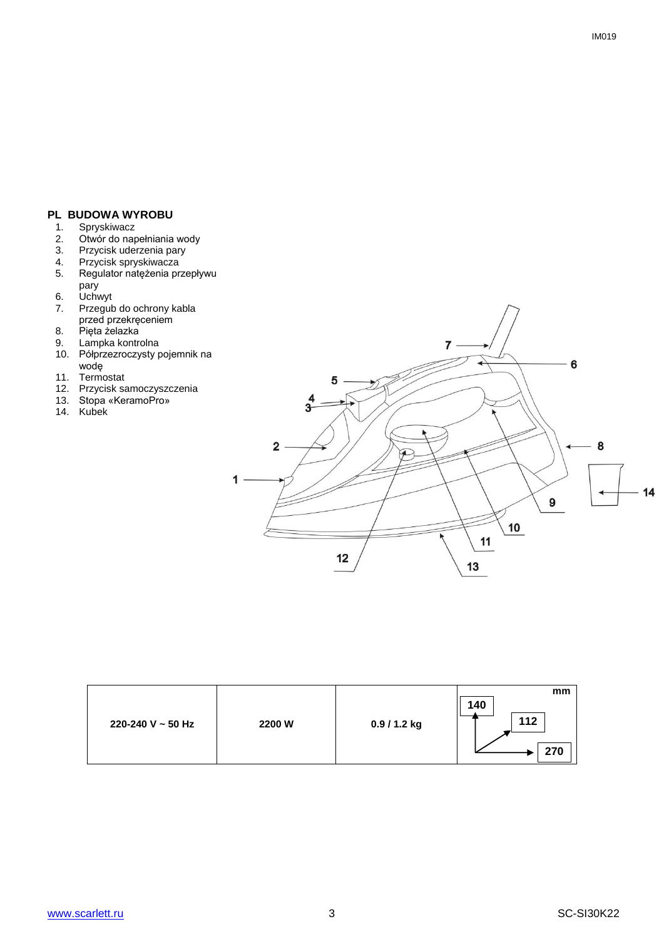# **PL BUDOWA WYROBU**<br>1. Spryskiwacz

- 1. Spryskiwacz<br>2. Otwór do nap
- 2. Otwór do napełniania wody
- 3. Przycisk uderzenia pary
- 4. Przycisk spryskiwacza
- 5. Regulator natężenia przepływu pary
- 6. Uchwyt<br>7. Przegut
- Przegub do ochrony kabla przed przekręceniem
- 8. Pięta żelazka
- 9. Lampka kontrolna
- 10. Półprzezroczysty pojemnik na wodę
- 11. Termostat
- 12. Przycisk samoczyszczenia
- 13. Stopa «KeramoPro»
- 14. Kubek



| 220-240 V ~ 50 Hz | 2200 W | 0.9 / 1.2 kg | mm<br>140<br>112 |
|-------------------|--------|--------------|------------------|
|                   |        |              | 270              |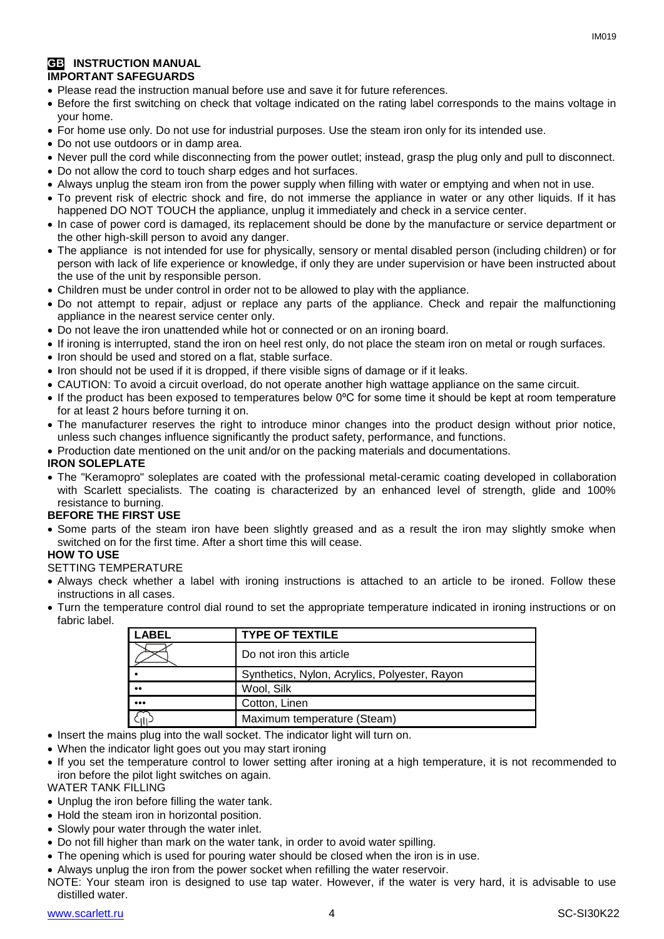#### **GB** INSTRUCTION MANUAL **IMPORTANT SAFEGUARDS**

- Please read the instruction manual before use and save it for future references.
- Before the first switching on check that voltage indicated on the rating label corresponds to the mains voltage in your home.
- For home use only. Do not use for industrial purposes. Use the steam iron only for its intended use.
- Do not use outdoors or in damp area.
- Never pull the cord while disconnecting from the power outlet; instead, grasp the plug only and pull to disconnect.
- Do not allow the cord to touch sharp edges and hot surfaces.
- Always unplug the steam iron from the power supply when filling with water or emptying and when not in use.
- To prevent risk of electric shock and fire, do not immerse the appliance in water or any other liquids. If it has happened DO NOT TOUCH the appliance, unplug it immediately and check in a service center.
- In case of power cord is damaged, its replacement should be done by the manufacture or service department or the other high-skill person to avoid any danger.
- The appliance is not intended for use for [physically, sensory or mental disabled](https://www.multitran.ru/c/m.exe?t=5841801_1_2&s1=%F7%E5%EB%EE%E2%E5%EA%20%F1%20%EE%E3%F0%E0%ED%E8%F7%E5%ED%ED%FB%EC%E8%20%E2%EE%E7%EC%EE%E6%ED%EE%F1%F2%FF%EC%E8) person (including children) or for person with lack of life experience or knowledge, if only they are under supervision or have been instructed about the use of the unit by responsible person.
- Children must be under control in order not to be allowed to play with the appliance.
- Do not attempt to repair, adjust or replace any parts of the appliance. Check and repair the malfunctioning appliance in the nearest service center only.
- Do not leave the iron unattended while hot or connected or on an ironing board.
- If ironing is interrupted, stand the iron on heel rest only, do not place the steam iron on metal or rough surfaces.
- Iron should be used and stored on a flat, stable surface.
- Iron should not be used if it is dropped, if there visible signs of damage or if it leaks.
- CAUTION: To avoid a circuit overload, do not operate another high wattage appliance on the same circuit.
- If the product has been exposed to temperatures below 0ºC for some time it should be kept at room temperature for at least 2 hours before turning it on.
- The manufacturer reserves the right to introduce minor changes into the product design without prior notice, unless such changes influence significantly the product safety, performance, and functions.
- Production date mentioned on the unit and/or on the packing materials and documentations.

#### **IRON SOLEPLATE**

 The "Keramopro" soleplates are coated with the professional metal-ceramic coating developed in collaboration with Scarlett specialists. The coating is characterized by an enhanced level of strength, glide and 100% resistance to burning.

#### **BEFORE THE FIRST USE**

• Some parts of the steam iron have been slightly greased and as a result the iron may slightly smoke when switched on for the first time. After a short time this will cease.

#### **HOW TO USE**

#### SETTING TEMPERATURE

- Always check whether a label with ironing instructions is attached to an article to be ironed. Follow these instructions in all cases.
- Turn the temperature control dial round to set the appropriate temperature indicated in ironing instructions or on fabric label.

| LABEL        | <b>TYPE OF TEXTILE</b>                        |
|--------------|-----------------------------------------------|
|              | Do not iron this article                      |
|              | Synthetics, Nylon, Acrylics, Polyester, Rayon |
| $^{\bullet}$ | Wool, Silk                                    |
|              | Cotton, Linen                                 |
|              | Maximum temperature (Steam)                   |

- Insert the mains plug into the wall socket. The indicator light will turn on.
- When the indicator light goes out you may start ironing
- If you set the temperature control to lower setting after ironing at a high temperature, it is not recommended to iron before the pilot light switches on again.

WATER TANK FILLING

- Unplug the iron before filling the water tank.
- Hold the steam iron in horizontal position.
- Slowly pour water through the water inlet.
- Do not fill higher than mark on the water tank, in order to avoid water spilling.
- The opening which is used for pouring water should be closed when the iron is in use.
- Always unplug the iron from the power socket when refilling the water reservoir.
- NOTE: Your steam iron is designed to use tap water. However, if the water is very hard, it is advisable to use distilled water.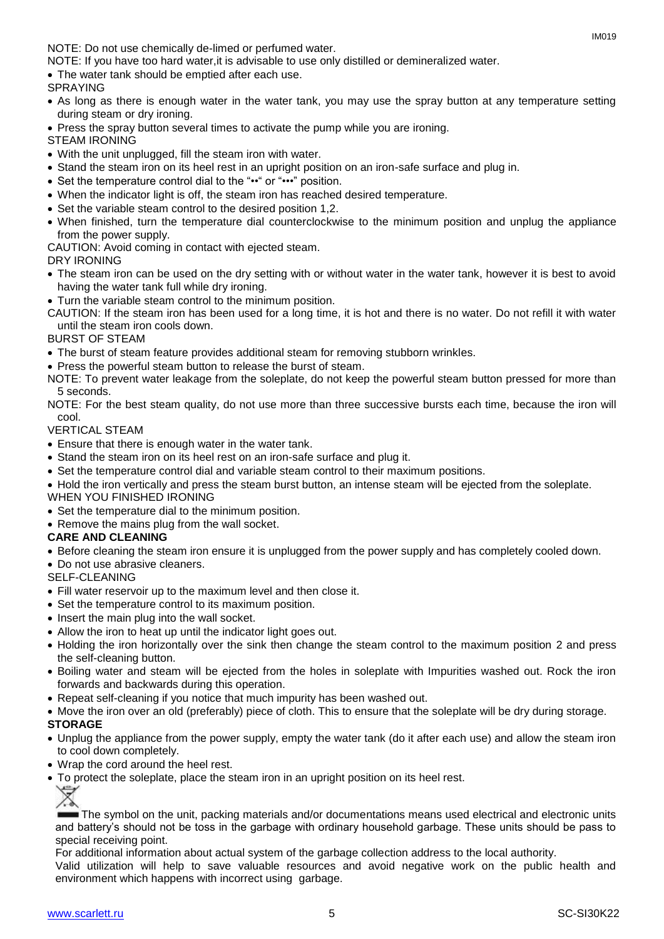NOTE: Do not use chemically de-limed or perfumed water.

NOTE: If you have too hard water,it is advisable to use only distilled or demineralized water.

The water tank should be emptied after each use.

#### SPRAYING

- As long as there is enough water in the water tank, you may use the spray button at any temperature setting during steam or dry ironing.
- Press the spray button several times to activate the pump while you are ironing.

STEAM IRONING

- With the unit unplugged, fill the steam iron with water.
- Stand the steam iron on its heel rest in an upright position on an iron-safe surface and plug in.
- Set the temperature control dial to the "••" or "•••" position.
- When the indicator light is off, the steam iron has reached desired temperature.
- Set the variable steam control to the desired position 1,2.
- When finished, turn the temperature dial counterclockwise to the minimum position and unplug the appliance from the power supply.

CAUTION: Avoid coming in contact with ejected steam.

#### DRY IRONING

- The steam iron can be used on the dry setting with or without water in the water tank, however it is best to avoid having the water tank full while dry ironing.
- Turn the variable steam control to the minimum position.
- CAUTION: If the steam iron has been used for a long time, it is hot and there is no water. Do not refill it with water until the steam iron cools down.

#### BURST OF STEAM

- The burst of steam feature provides additional steam for removing stubborn wrinkles.
- Press the powerful steam button to release the burst of steam.
- NOTE: To prevent water leakage from the soleplate, do not keep the powerful steam button pressed for more than 5 seconds.
- NOTE: For the best steam quality, do not use more than three successive bursts each time, because the iron will cool.

#### VERTICAL STEAM

- Ensure that there is enough water in the water tank.
- Stand the steam iron on its heel rest on an iron-safe surface and plug it.
- Set the temperature control dial and variable steam control to their maximum positions.
- Hold the iron vertically and press the steam burst button, an intense steam will be ejected from the soleplate. WHEN YOU FINISHED IRONING
- Set the temperature dial to the minimum position.
- Remove the mains plug from the wall socket.

#### **CARE AND CLEANING**

- Before cleaning the steam iron ensure it is unplugged from the power supply and has completely cooled down.
- Do not use abrasive cleaners.

SELF-CLEANING

- Fill water reservoir up to the maximum level and then close it.
- Set the temperature control to its maximum position.
- Insert the main plug into the wall socket.
- Allow the iron to heat up until the indicator light goes out.
- Holding the iron horizontally over the sink then change the steam control to the maximum position 2 and press the self-cleaning button.
- Boiling water and steam will be ejected from the holes in soleplate with Impurities washed out. Rock the iron forwards and backwards during this operation.
- Repeat self-cleaning if you notice that much impurity has been washed out.
- Move the iron over an old (preferably) piece of cloth. This to ensure that the soleplate will be dry during storage.

#### **STORAGE**

- Unplug the appliance from the power supply, empty the water tank (do it after each use) and allow the steam iron to cool down completely.
- Wrap the cord around the heel rest.
- To protect the soleplate, place the steam iron in an upright position on its heel rest.

The symbol on the unit, packing materials and/or documentations means used electrical and electronic units and battery's should not be toss in the garbage with ordinary household garbage. These units should be pass to special receiving point.

For additional information about actual system of the garbage collection address to the local authority.

Valid utilization will help to save valuable resources and avoid negative work on the public health and environment which happens with incorrect using garbage.

IM019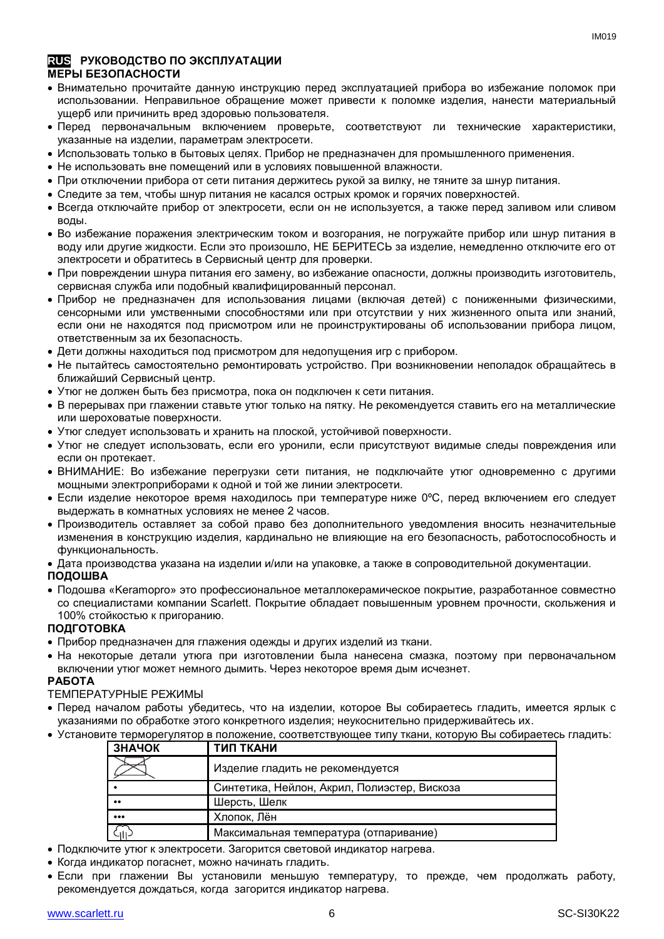#### **RUS РУКОВОДСТВО ПО ЭКСПЛУАТАЦИИ МЕРЫ БЕЗОПАСНОСТИ**

- Внимательно прочитайте данную инструкцию перед эксплуатацией прибора во избежание поломок при использовании. Неправильное обращение может привести к поломке изделия, нанести материальный ущерб или причинить вред здоровью пользователя.
- Перед первоначальным включением проверьте, соответствуют ли технические характеристики, указанные на изделии, параметрам электросети.
- Использовать только в бытовых целях. Прибор не предназначен для промышленного применения.
- Не использовать вне помешений или в условиях повышенной влажности.
- При отключении прибора от сети питания держитесь рукой за вилку, не тяните за шнур питания.
- Следите за тем, чтобы шнур питания не касался острых кромок и горячих поверхностей.
- Всегда отключайте прибор от электросети, если он не используется, а также перед заливом или сливом воды.
- Во избежание поражения электрическим током и возгорания, не погружайте прибор или шнур питания в воду или другие жидкости. Если это произошло, НЕ БЕРИТЕСЬ за изделие, немедленно отключите его от электросети и обратитесь в Сервисный центр для проверки.
- При повреждении шнура питания его замену, во избежание опасности, должны производить изготовитель, сервисная служба или подобный квалифицированный персонал.
- Прибор не предназначен для использования лицами (включая детей) с пониженными физическими, сенсорными или умственными способностями или при отсутствии у них жизненного опыта или знаний, если они не находятся под присмотром или не проинструктированы об использовании прибора лицом, ответственным за их безопасность.
- Дети должны находиться под присмотром для недопущения игр с прибором.
- Не пытайтесь самостоятельно ремонтировать устройство. При возникновении неполадок обращайтесь в ближайший Сервисный центр.
- Утюг не должен быть без присмотра, пока он подключен к сети питания.
- В перерывах при глажении ставьте утюг только на пятку. Не рекомендуется ставить его на металлические или шероховатые поверхности.
- Утюг следует использовать и хранить на плоской, устойчивой поверхности.
- Утюг не следует использовать, если его уронили, если присутствуют видимые следы повреждения или если он протекает.
- ВНИМАНИЕ: Во избежание перегрузки сети питания, не подключайте утюг одновременно с другими мощными электроприборами к одной и той же линии электросети.
- Если изделие некоторое время находилось при температуре ниже 0ºC, перед включением его следует выдержать в комнатных условиях не менее 2 часов.
- Производитель оставляет за собой право без дополнительного уведомления вносить незначительные изменения в конструкцию изделия, кардинально не влияющие на его безопасность, работоспособность и функциональность.

Дата производства указана на изделии и/или на упаковке, а также в сопроводительной документации.

#### **ПОДОШВА**

 Подошва «Keramopro» это профессиональное металлокерамическое покрытие, разработанное совместно со специалистами компании Scarlett. Покрытие обладает повышенным уровнем прочности, скольжения и 100% стойкостью к пригоранию.

#### **ПОДГОТОВКА**

- Прибор предназначен для глажения одежды и других изделий из ткани.
- На некоторые детали утюга при изготовлении была нанесена смазка, поэтому при первоначальном включении утюг может немного дымить. Через некоторое время дым исчезнет.

#### **РАБОТА**

#### ТЕМПЕРАТУРНЫЕ РЕЖИМЫ

- Перед началом работы убедитесь, что на изделии, которое Вы собираетесь гладить, имеется ярлык с указаниями по обработке этого конкретного изделия; неукоснительно придерживайтесь их.
- Установите терморегулятор в положение, соответствующее типу ткани, которую Вы собираетесь гладить:

| ЗНАЧОК              | ТИП ТКАНИ                                    |
|---------------------|----------------------------------------------|
|                     | Изделие гладить не рекомендуется             |
|                     | Синтетика, Нейлон, Акрил, Полиэстер, Вискоза |
| $^{\bullet\bullet}$ | Шерсть, Шелк                                 |
|                     | Хлопок, Лён                                  |
| 'nБ.                | Максимальная температура (отпаривание)       |

- Подключите утюг к электросети. Загорится световой индикатор нагрева.
- Когда индикатор погаснет, можно начинать гладить.
- Если при глажении Вы установили меньшую температуру, то прежде, чем продолжать работу, рекомендуется дождаться, когда загорится индикатор нагрева.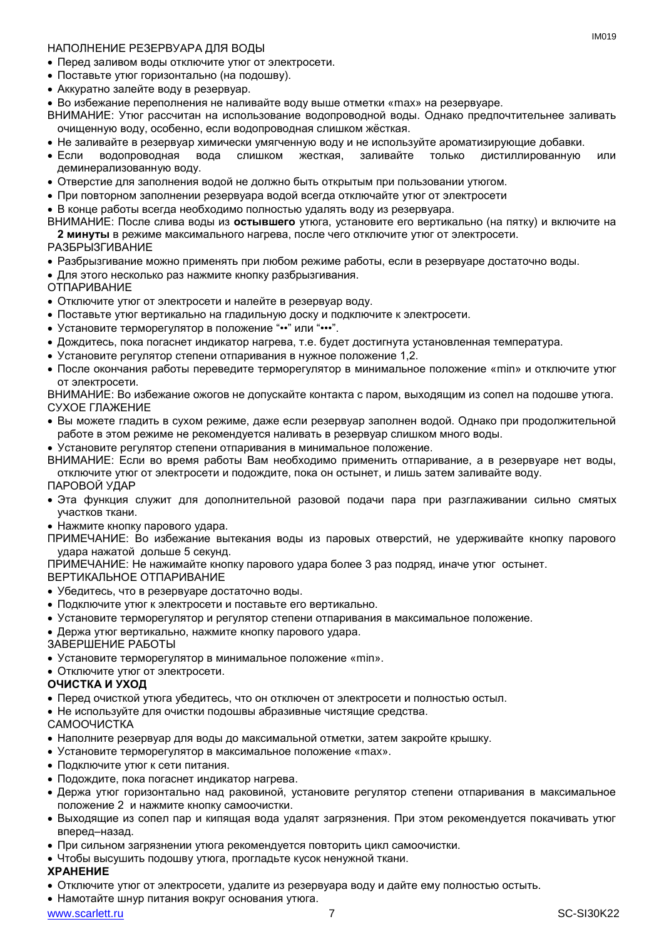#### НАПОЛНЕНИЕ РЕЗЕРВУАРА ДЛЯ ВОДЫ

- Перед заливом воды отключите утюг от электросети.
- Поставьте утюг горизонтально (на подошву).
- Аккуратно залейте воду в резервуар.
- Во избежание переполнения не наливайте воду выше отметки «max» на резервуаре.
- ВНИМАНИЕ: Утюг рассчитан на использование водопроводной воды. Однако предпочтительнее заливать очищенную воду, особенно, если водопроводная слишком жёсткая.
- Не заливайте в резервуар химически умягченную воду и не используйте ароматизирующие добавки.
- Если водопроводная вода слишком жесткая, заливайте только дистиллированную или деминерализованную воду.
- Отверстие для заполнения водой не должно быть открытым при пользовании утюгом.
- При повторном заполнении резервуара водой всегда отключайте утюг от электросети
- В конце работы всегда необходимо полностью удалять воду из резервуара.

ВНИМАНИЕ: После слива воды из **остывшего** утюга, установите его вертикально (на пятку) и включите на **2 минуты** в режиме максимального нагрева, после чего отключите утюг от электросети.

#### РАЗБРЫЗГИВАНИЕ

- Разбрызгивание можно применять при любом режиме работы, если в резервуаре достаточно воды.
- Для этого несколько раз нажмите кнопку разбрызгивания.

ОТПАРИВАНИЕ

- Отключите утюг от электросети и налейте в резервуар воду.
- Поставьте утюг вертикально на гладильную доску и подключите к электросети.
- Установите терморегулятор в положение "••" или "•••".
- Дождитесь, пока погаснет индикатор нагрева, т.е. будет достигнута установленная температура.
- Установите регулятор степени отпаривания в нужное положение 1,2.
- После окончания работы переведите терморегулятор в минимальное положение «min» и отключите утюг от электросети.

ВНИМАНИЕ: Во избежание ожогов не допускайте контакта с паром, выходящим из сопел на подошве утюга. СУХОЕ ГЛАЖЕНИЕ

- Вы можете гладить в сухом режиме, даже если резервуар заполнен водой. Однако при продолжительной работе в этом режиме не рекомендуется наливать в резервуар слишком много воды.
- Установите регулятор степени отпаривания в минимальное положение.

ВНИМАНИЕ: Если во время работы Вам необходимо применить отпаривание, а в резервуаре нет воды, отключите утюг от электросети и подождите, пока он остынет, и лишь затем заливайте воду.

ПАРОВОЙ УДАР

- Эта функция служит для дополнительной разовой подачи пара при разглаживании сильно смятых участков ткани.
- Нажмите кнопку парового удара.

ПРИМЕЧАНИЕ: Во избежание вытекания воды из паровых отверстий, не удерживайте кнопку парового удара нажатой дольше 5 секунд.

ПРИМЕЧАНИЕ: Не нажимайте кнопку парового удара более 3 раз подряд, иначе утюг остынет.

ВЕРТИКАЛЬНОЕ ОТПАРИВАНИЕ

- Убедитесь, что в резервуаре достаточно воды.
- Подключите утюг к электросети и поставьте его вертикально.
- Установите терморегулятор и регулятор степени отпаривания в максимальное положение.
- Держа утюг вертикально, нажмите кнопку парового удара.
- ЗАВЕРШЕНИЕ РАБОТЫ
- Установите терморегулятор в минимальное положение «min».
- Отключите утюг от электросети.

#### **ОЧИСТКА И УХОД**

- Перед очисткой утюга убедитесь, что он отключен от электросети и полностью остыл.
- Не используйте для очистки подошвы абразивные чистящие средства.

САМООЧИСТКА

- Наполните резервуар для воды до максимальной отметки, затем закройте крышку.
- Установите терморегулятор в максимальное положение «max».
- Подключите утюг к сети питания.
- Подождите, пока погаснет индикатор нагрева.
- Держа утюг горизонтально над раковиной, установите регулятор степени отпаривания в максимальное положение 2 и нажмите кнопку самоочистки.
- Выходящие из сопел пар и кипящая вода удалят загрязнения. При этом рекомендуется покачивать утюг вперед–назад.
- При сильном загрязнении утюга рекомендуется повторить цикл самоочистки.
- Чтобы высушить подошву утюга, прогладьте кусок ненужной ткани.

#### **ХРАНЕНИЕ**

Отключите утюг от электросети, удалите из резервуара воду и дайте ему полностью остыть.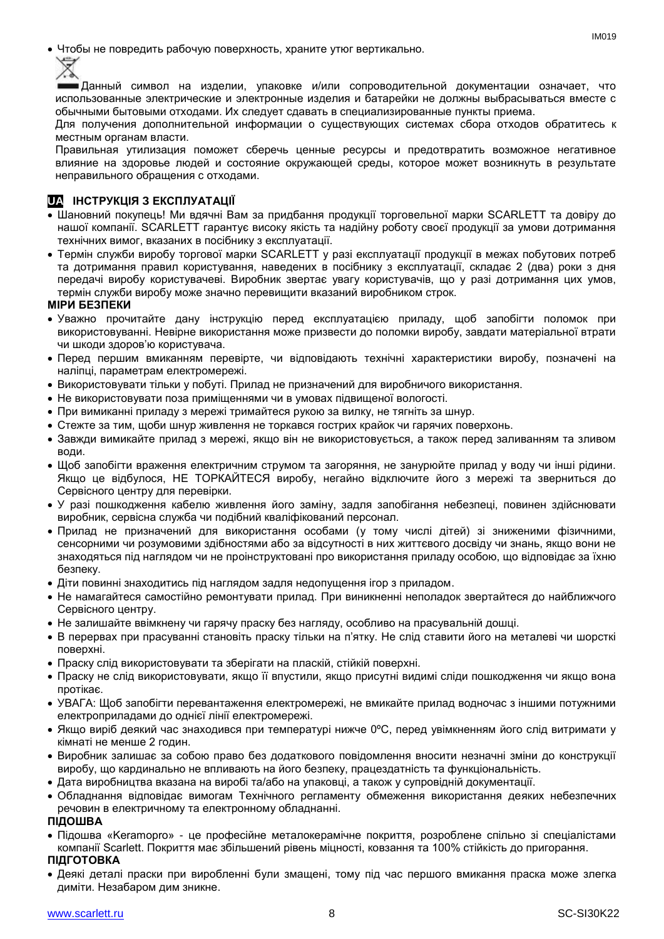Чтобы не повредить рабочую поверхность, храните утюг вертикально.



Данный символ на изделии, упаковке и/или сопроводительной документации означает, что использованные электрические и электронные изделия и батарейки не должны выбрасываться вместе с обычными бытовыми отходами. Их следует сдавать в специализированные пункты приема.

Для получения дополнительной информации о существующих системах сбора отходов обратитесь к местным органам власти.

Правильная утилизация поможет сберечь ценные ресурсы и предотвратить возможное негативное влияние на здоровье людей и состояние окружающей среды, которое может возникнуть в результате неправильного обращения с отходами.

#### **UA ІНСТРУКЦІЯ З ЕКСПЛУАТАЦІЇ**

- Шановний покупець! Ми вдячні Вам за придбання продукції торговельної марки SCARLETT та довіру до нашої компанії. SCARLETT гарантує високу якість та надійну роботу своєї продукції за умови дотримання технічних вимог, вказаних в посібнику з експлуатації.
- Термін служби виробу торгової марки SCARLETT у разі експлуатації продукції в межах побутових потреб та дотримання правил користування, наведених в посібнику з експлуатації, складає 2 (два) роки з дня передачі виробу користувачеві. Виробник звертає увагу користувачів, що у разі дотримання цих умов, термін служби виробу може значно перевищити вказаний виробником строк.

#### **МІРИ БЕЗПЕКИ**

- Уважно прочитайте дану інструкцію перед експлуатацією приладу, щоб запобігти поломок при використовуванні. Невірне використання може призвести до поломки виробу, завдати матеріальної втрати чи шкоди здоров'ю користувача.
- Перед першим вмиканням перевірте, чи відповідають технічні характеристики виробу, позначені на наліпці, параметрам електромережі.
- Використовувати тільки у побуті. Прилад не призначений для виробничого використання.
- Не використовувати поза приміщеннями чи в умовах підвищеної вологості.
- При вимиканні приладу з мережі тримайтеся рукою за вилку, не тягніть за шнур.
- Стежте за тим, щоби шнур живлення не торкався гострих крайок чи гарячих поверхонь.
- Завжди вимикайте прилад з мережі, якщо він не використовується, а також перед заливанням та зливом води.
- Щоб запобігти враження електричним струмом та загоряння, не занурюйте прилад у воду чи інші рідини. Якщо це відбулося, НЕ ТОРКАЙТЕСЯ виробу, негайно відключите його з мережі та зверниться до Сервісного центру для перевірки.
- У разі пошкодження кабелю живлення його заміну, задля запобігання небезпеці, повинен здійснювати виробник, сервісна служба чи подібний кваліфікований персонал.
- Прилад не призначений для використання особами (у тому числі дітей) зі зниженими фізичними, сенсорними чи розумовими здібностями або за відсутності в них життєвого досвіду чи знань, якщо вони не знаходяться під наглядом чи не проінструктовані про використання приладу особою, що відповідає за їхню безпеку.
- Діти повинні знаходитись під наглядом задля недопущення ігор з приладом.
- Не намагайтеся самостійно ремонтувати прилад. При виникненні неполадок звертайтеся до найближчого Сервісного центру.
- Не залишайте ввімкнену чи гарячу праску без нагляду, особливо на прасувальній дошці.
- В перервах при прасуванні становіть праску тільки на п'ятку. Не слід ставити його на металеві чи шорсткі поверхні.
- Праску слід використовувати та зберігати на пласкій, стійкій поверхні.
- Праску не слід використовувати, якщо її впустили, якщо присутні видимі сліди пошкодження чи якщо вона протікає.
- УВАГА: Щоб запобігти перевантаження електромережі, не вмикайте прилад водночас з іншими потужними електроприладами до однієї лінії електромережі.
- Якщо виріб деякий час знаходився при температурі нижче 0ºC, перед увімкненням його слід витримати у кімнаті не менше 2 годин.
- Виробник залишає за собою право без додаткового повідомлення вносити незначні зміни до конструкції виробу, що кардинально не впливають на його безпеку, працездатність та функціональність.
- Дата виробництва вказана на виробі та/або на упаковці, а також у супровідній документації.
- Обладнання відповідає вимогам Технічного регламенту обмеження використання деяких небезпечних речовин в електричному та електронному обладнанні.

#### **ПІДОШВА**

- Підошва «Keramopro» це професійне металокерамічне покриття, розроблене спільно зі спеціалістами компанії Scarlett. Покриття має збільшений рівень міцності, ковзання та 100% стійкість до пригорання.
- **ПІДГОТОВКА**
- Деякі деталі праски при виробленні були змащені, тому пiд час першого вмикання праска може злегка диміти. Незабаром дим зникне.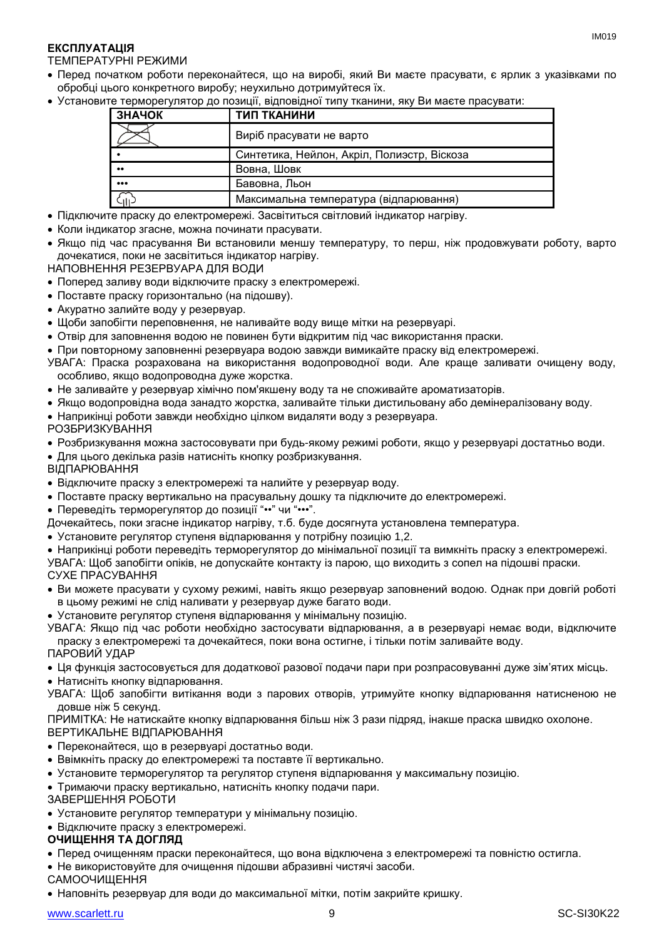#### **ЕКСПЛУАТАЦІЯ**

#### ТЕМПЕРАТУРНІ РЕЖИМИ

- Перед початком роботи переконайтеся, що на виробі, який Ви маєте прасувати, є ярлик з указівками по обробці цього конкретного виробу; неухильно дотримуйтеся їх.
- Установите терморегулятор до позиції, відповідної типу тканини, яку Ви маєте прасувати:

| ЗНАЧОК                  | ТИП ТКАНИНИ                                 |
|-------------------------|---------------------------------------------|
|                         | Виріб прасувати не варто                    |
|                         | Синтетика, Нейлон, Акріл, Полиэстр, Віскоза |
|                         | Вовна, Шовк                                 |
| $\bullet\bullet\bullet$ | Бавовна, Льон                               |
| ا ا آ                   | Максимальна температура (відпарювання)      |

- Підключите праску до електромережі. Засвітиться світловий індикатор нагріву.
- Коли індикатор згасне, можна починати прасувати.
- Якщо пiд час прасування Ви встановили меншу температуру, то перш, ніж продовжувати роботу, варто дочекатися, поки не засвітиться індикатор нагріву.
- НАПОВНЕННЯ РЕЗЕРВУАРА ДЛЯ ВОДИ
- Поперед заливу води відключите праску з електромережі.
- Поставте праску горизонтально (на підошву).
- Акуратно залийте воду у резервуар.
- Щоби запобігти переповнення, не наливайте воду вище мітки на резервуарі.
- Отвір для заповнення водою не повинен бути відкритим під час використання праски.
- При повторному заповненні резервуара водою завжди вимикайте праску від електромережі.
- УВАГА: Праска розрахована на використання водопроводної води. Але краще заливати очищену воду, особливо, якщо водопроводна дуже жорстка.
- Не заливайте у резервуар хімічно пом'якшену воду та не споживайте ароматизаторів.
- Якщо водопровідна вода занадто жорстка, заливайте тільки дистильовану або демінералізовану воду.
- Наприкінці роботи завжди необхідно цілком видаляти воду з резервуара.
- РОЗБРИЗКУВАННЯ
- Розбризкування можна застосовувати при будь-якому режимі роботи, якщо у резервуарі достатньо води.
- Для цього декілька разів натисніть кнопку розбризкування.
- ВІДПАРЮВАННЯ
- Відключите праску з електромережі та налийте у резервуар воду.
- Поставте праску вертикально на прасувальну дошку та підключите до електромережі.
- Переведіть терморегулятор до позиції "••" чи "•••".
- Дочекайтесь, поки згасне індикатор нагріву, т.б. буде досягнута установлена температура.
- Установите регулятор ступеня відпарювання у потрібну позицію 1,2.
- Наприкінці роботи переведіть терморегулятор до мінімальної позиції та вимкніть праску з електромережі.
- УВАГА: Щоб запобігти опіків, не допускайте контакту із парою, що виходить з сопел на підошві праски. СУХЕ ПРАСУВАННЯ
- Ви можете прасувати у сухому режимі, навіть якщо резервуар заповнений водою. Однак при довгій роботі в цьому режимі не слід наливати у резервуар дуже багато води.
- Установите регулятор ступеня відпарювання у мінімальну позицію.
- УВАГА: Якщо пiд час роботи необхідно застосувати відпарювання, а в резервуарі немає води, відключите праску з електромережі та дочекайтеся, поки вона остигне, і тільки потім заливайте воду.
- ПАРОВИЙ УДАР
- Ця функція застосовується для додаткової разової подачи пари при розпрасовуванні дуже зім'ятих місць.
- Натисніть кнопку відпарювання.
- УВАГА: Щоб запобігти витікання води з парових отворів, утримуйте кнопку відпарювання натисненою не довше ніж 5 секунд.
- ПРИМІТКА: Не натискайте кнопку відпарювання більш ніж 3 рази підряд, інакше праска швидко охолоне. ВЕРТИКАЛЬНЕ ВІДПАРЮВАННЯ
- Переконайтеся, що в резервуарі достатньо води.
- Ввімкніть праску до електромережі та поставте її вертикально.
- Установите терморегулятор та регулятор ступеня відпарювання у максимальну позицію.
- Тримаючи праску вертикально, натисніть кнопку подачи пари.
- ЗАВЕРШЕННЯ РОБОТИ
- Установите регулятор температури у мінімальну позицію.
- Відключите праску з електромережі.

#### **ОЧИЩЕННЯ ТА ДОГЛЯД**

- Перед очищенням праски переконайтеся, що вона відключена з електромережі та повністю остигла.
- Не використовуйте для очищення підошви абразивні чистячі засоби.
- САМООЧИЩЕННЯ
- Наповніть резервуар для води до максимальної мітки, потім закрийте кришку.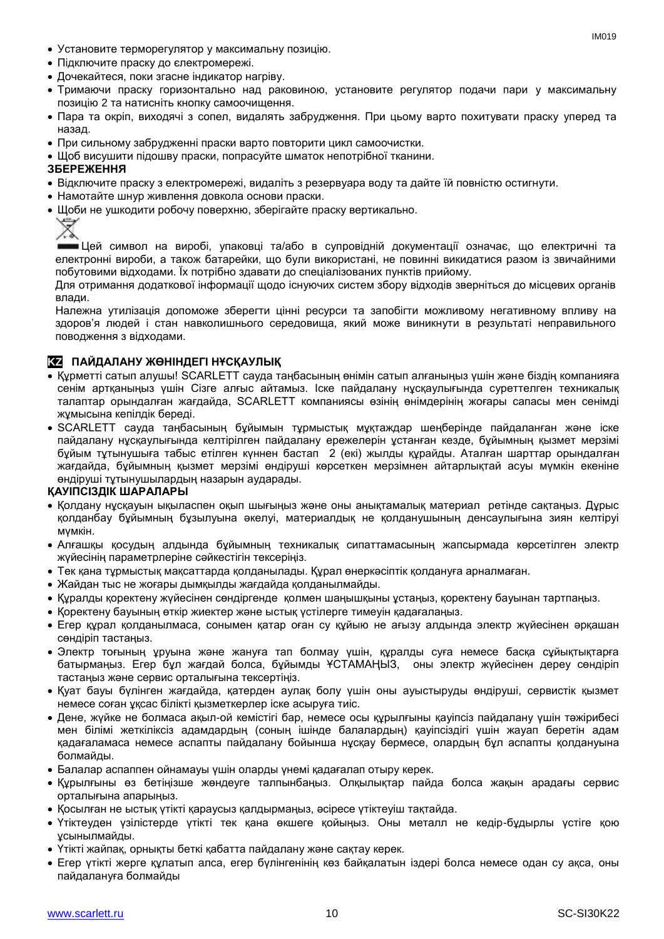- Установите терморегулятор у максимальну позицію.
- Підключите праску до єлектромережі.
- Дочекайтеся, поки згасне індикатор нагріву.
- Тримаючи праску горизонтально над раковиною, установите регулятор подачи пари у максимальну позицію 2 та натисніть кнопку самоочищення.
- Пара та окріп, виходячі з сопел, видалять забрудження. При цьому варто похитувати праску уперед та назад.
- При сильному забрудженні праски варто повторити цикл самоочистки.
- Шоб висушити підошву праски, попрасуйте шматок непотрібної тканини.

#### **ЗБЕРЕЖЕННЯ**

- Відключите праску з електромережі, видаліть з резервуара воду та дайте їй повністю остигнути.
- Намотайте шнур живлення довкола основи праски.
- Щоби не ушкодити робочу поверхню, зберігайте праску вертикально.



Цей символ на виробі, упаковці та/або в супровідній документації означає, що електричні та електронні вироби, а також батарейки, що були використані, не повинні викидатися разом із звичайними побутовими відходами. Їх потрібно здавати до спеціалізованих пунктів прийому.

Для отримання додаткової інформації щодо існуючих систем збору відходів зверніться до місцевих органів влади.

Належна утилізація допоможе зберегти цінні ресурси та запобігти можливому негативному впливу на здоров'я людей і стан навколишнього середовища, який може виникнути в результаті неправильного поводження з відходами.

#### **KZ ПАЙДАЛАНУ ЖӨНІНДЕГІ НҰСҚАУЛЫҚ**

- Құрметті сатып алушы! SCARLETT сауда таңбасының өнімін сатып алғаныңыз үшін және біздің компанияға сенім артқаныңыз үшін Сізге алғыс айтамыз. Іске пайдалану нұсқаулығында суреттелген техникалық талаптар орындалған жағдайда, SCARLETT компаниясы өзінің өнімдерінің жоғары сапасы мен сенімді жұмысына кепілдік береді.
- SCARLETT сауда таңбасының бұйымын тұрмыстық мұқтаждар шеңберінде пайдаланған және іске пайдалану нұсқаулығында келтірілген пайдалану ережелерін ұстанған кезде, бұйымның қызмет мерзімі бұйым тұтынушыға табыс етілген күннен бастап 2 (екі) жылды құрайды. Аталған шарттар орындалған жағдайда, бұйымның қызмет мерзімі өндіруші көрсеткен мерзімнен айтарлықтай асуы мүмкін екеніне өндіруші тұтынушылардың назарын аударады.

#### **ҚАУІПСІЗДІК ШАРАЛАРЫ**

- Қолдану нұсқауын ықыласпен оқып шығыңыз және оны анықтамалық материал ретінде сақтаңыз. Дұрыс қолданбау бұйымның бұзылуына әкелуі, материалдық не қолданушының денсаулығына зиян келтіруі мүмкін.
- Алғашқы қосудың алдында бұйымның техникалық сипаттамасының жапсырмада көрсетілген электр жүйесінің параметрлеріне сәйкестігін тексеріңіз.
- Тек қана тұрмыстық мақсаттарда қолданылады. Құрал өнеркәсіптік қолдануға арналмаған.
- Жайдан тыс не жоғары дымқылды жағдайда қолданылмайды.
- Құралды қоректену жүйесінен сөндіргенде қолмен шаңышқыны ұстаңыз, қоректену бауынан тартпаңыз.
- Қоректену бауының өткір жиектер және ыстық үстілерге тимеуін қадағалаңыз.
- Егер құрал қолданылмаса, сонымен қатар оған су құйыю не ағызу алдында электр жүйесінен әрқашан сөндіріп тастаңыз.
- Электр тоғының ұруына және жануға тап болмау үшін, құралды суға немесе басқа сұйықтықтарға батырмаңыз. Егер бұл жағдай болса, бұйымды ҰСТАМАҢЫЗ, оны электр жүйесінен дереу сөндіріп тастаңыз және сервис орталығына тексертіңіз.
- Қуат бауы бүлінген жағдайда, қатерден аулақ болу үшін оны ауыстыруды өндіруші, сервистік қызмет немесе соған ұқсас білікті қызметкерлер іске асыруға тиіс.
- Дене, жүйке не болмаса ақыл-ой кемістігі бар, немесе осы құрылғыны қауіпсіз пайдалану үшін тәжірибесі мен білімі жеткіліксіз адамдардың (соның ішінде балалардың) қауіпсіздігі үшін жауап беретін адам қадағаламаса немесе аспапты пайдалану бойынша нұсқау бермесе, олардың бұл аспапты қолдануына болмайды.
- Балалар аспаппен ойнамауы үшін оларды үнемі қадағалап отыру керек.
- Құрылғыны өз бетіңізше жөндеуге талпынбаңыз. Олқылықтар пайда болса жақын арадағы сервис орталығына апарыңыз.
- Қосылған не ыстық үтікті қараусыз қалдырмаңыз, әсіресе үтіктеуіш тақтайда.
- Үтіктеуден үзілістерде үтікті тек қана өкшеге қойыңыз. Оны металл не кедір-бұдырлы үстіге қою ұсынылмайды.
- Үтікті жайпақ, орнықты беткі қабатта пайдалану және сақтау керек.
- Егер үтікті жерге құлатып алса, егер бүлінгенінің көз байқалатын іздері болса немесе одан су ақса, оны пайдалануға болмайды

IM019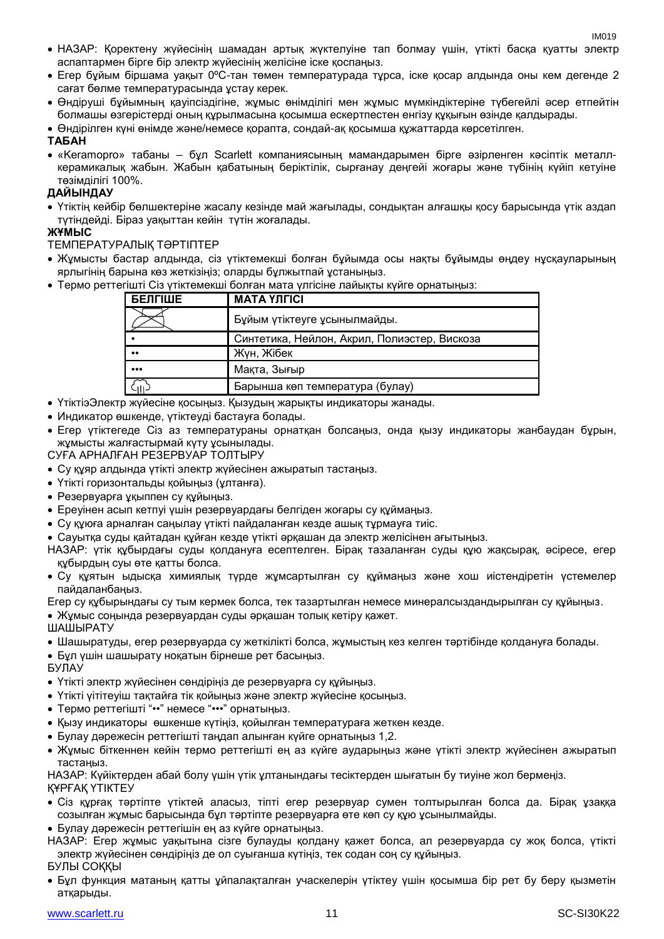- НАЗАР: Қоректену жүйесінің шамадан артық жүктелуіне тап болмау үшін, үтікті басқа қуатты электр аспаптармен бірге бір электр жүйесінің желісіне іске қоспаңыз.
- Егер бұйым біршама уақыт 0ºC-тан төмен температурада тұрса, іске қосар алдында оны кем дегенде 2 сағат бөлме температурасында ұстау керек.
- Өндіруші бұйымның қауіпсіздігіне, жұмыс өнімділігі мен жұмыс мүмкіндіктеріне түбегейлі әсер етпейтін болмашы өзгерістерді оның құрылмасына қосымша ескертпестен енгізу құқығын өзінде қалдырады.
- Өндірілген күні өнімде және/немесе қорапта, сондай-ақ қосымша құжаттарда көрсетілген.

#### **ТАБАН**

 «Keramopro» табаны – бұл Scarlett компаниясының мамандарымен бірге әзірленген кәсіптік металлкерамикалық жабын. Жабын қабатының беріктілік, сырғанау деңгейі жоғары және түбінің күйіп кетуіне төзімділігі 100%.

#### **ДАЙЫНДАУ**

 Үтіктің кейбір бөлшектеріне жасалу кезінде май жағылады, сондықтан алғашқы қосу барысында үтік аздап түтіндейді. Біраз уақыттан кейін түтін жоғалады.

#### **ЖҰМЫС**

#### ТЕМПЕРАТУРАЛЫҚ ТӘРТІПТЕР

- Жұмысты бастар алдында, сіз үтіктемекші болған бұйымда осы нақты бұйымды өңдеу нұсқауларының ярлыгінің барына көз жеткізіңіз; оларды бұлжытпай ұстаныңыз.
- Термо реттегішті Сіз үтіктемекші болған мата үлгісіне лайықты күйге орнатыңыз:

| <b>БЕЛГІШЕ</b>          | <b>MATA YJIFICI</b>                          |
|-------------------------|----------------------------------------------|
|                         | Бұйым үтіктеуге ұсынылмайды.                 |
|                         | Синтетика, Нейлон, Акрил, Полиэстер, Вискоза |
| $\bullet\bullet$        | Жүн, Жібек                                   |
| $\bullet\bullet\bullet$ | Мақта, Зығыр                                 |
|                         | Барынша көп температура (булау)              |

- ҮтіктіэЭлектр жүйесіне қосыңыз. Қызудың жарықты индикаторы жанады.
- Индикатор өшкенде, үтіктеуді бастауға болады.
- Егер үтіктегеде Сіз аз температураны орнатқан болсаңыз, онда қызу индикаторы жанбаудан бұрын, жұмысты жалғастырмай күту ұсынылады.

СУҒА АРНАЛҒАН РЕЗЕРВУАР ТОЛТЫРУ

- Су құяр алдында үтікті электр жүйесінен ажыратып тастаңыз.
- Үтікті горизонтальды қойыңыз (ұлтанға).
- Резервуарға ұқыппен су құйыңыз.
- Ереуінен асып кетпуі үшін резервуардағы белгіден жоғары су құймаңыз.
- Су құюға арналған саңылау үтікті пайдаланған кезде ашық тұрмауға тиіс.
- Сауытқа суды қайтадан құйған кезде үтікті әрқашан да электр желісінен ағытыңыз.

НАЗАР: үтік құбырдағы суды қолдануға есептелген. Бірақ тазаланған суды құю жақсырақ, әсіресе, егер құбырдың суы өте қатты болса.

 Су құятын ыдысқа химиялық түрде жұмсартылған су құймаңыз және хош иістендіретін үстемелер пайдаланбаңыз.

Егер су құбырындағы су тым кермек болса, тек тазартылған немесе минералсыздандырылған су құйыңыз.

Жұмыс соңында резервуардан суды әрқашан толық кетіру қажет.

ШАШЫРАТУ

- Шашыратуды, егер резервуарда су жеткілікті болса, жұмыстың кез келген тәртібінде қолдануға болады.
- Бұл үшін шашырату ноқатын бірнеше рет басыңыз.
- БУЛАУ
- Үтікті электр жүйесінен сөндіріңіз де резервуарға су құйыңыз.
- Үтікті үітітеуіш тақтайға тік қойыңыз және электр жүйесіне қосыңыз.
- Термо реттегішті "••" немесе "•••" орнатыңыз.
- Қызу индикаторы өшкенше күтіңіз, қойылған температураға жеткен кезде.
- Булау дәрежесін реттегішті таңдап алынған күйге орнатыңыз 1,2.
- Жұмыс біткеннен кейін термо реттегішті ең аз күйге аударыңыз және үтікті электр жүйесінен ажыратып тастаңыз.

НАЗАР: Күйіктерден абай болу үшін үтік ұлтанындағы тесіктерден шығатын бу тиуіне жол бермеңіз. ҚҰРҒАҚ ҮТІКТЕУ

- Сіз құрғақ тәртіпте үтіктей алаcыз, тіпті егер резервуар сумен толтырылған болса да. Бірақ ұзаққа созылған жұмыс барысында бұл тәртіпте резервуарға өте көп су құю ұсынылмайды.
- Булау дәрежесін реттегішін ең аз күйге орнатыңыз.

НАЗАР: Егер жұмыс уақытына сізге булауды қолдану қажет болса, ал резервуарда су жоқ болса, үтікті электр жүйесінен сөндіріңіз де ол суығанша күтіңіз, тек содан соң су құйыңыз.

- БУЛЫ СОҚҚЫ
- Бұл функция матаның қатты ұйпалақталған учаскелерін үтіктеу үшін қосымша бір рет бу беру қызметін атқарыды.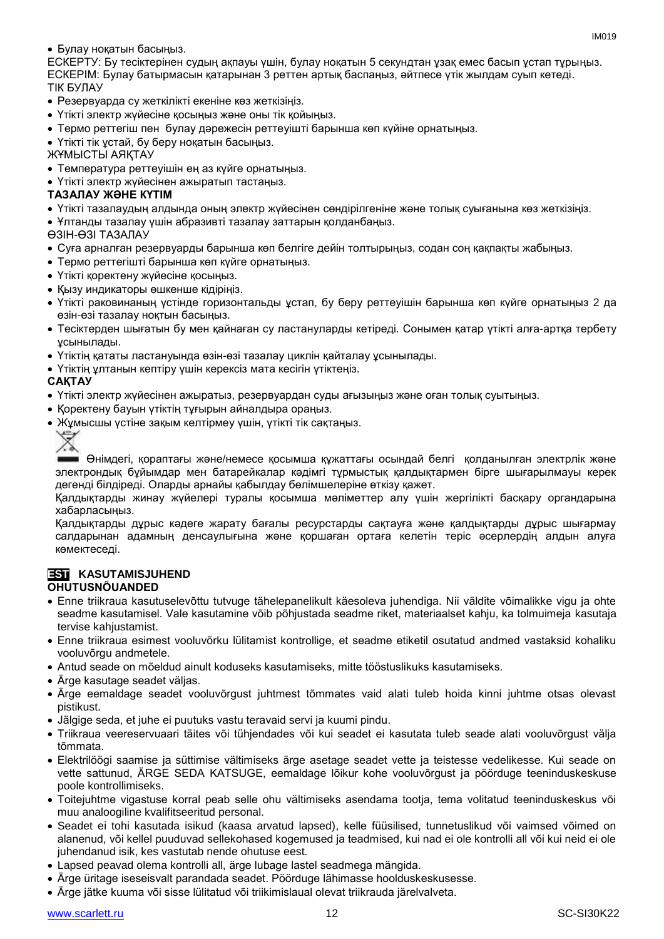#### Булау ноқатын басыңыз.

ЕСКЕРТУ: Бу тесіктерінен судың ақпауы үшін, булау ноқатын 5 секундтан ұзақ емес басып ұстап тұрыңыз. ЕСКЕРІМ: Булау батырмасын қатарынан 3 реттен артық баспаңыз, әйтпесе үтік жылдам суып кетеді. ТІК БУЛАУ

- Резервуарда су жеткілікті екеніне көз жеткізіңіз.
- Үтікті электр жүйесіне қосыңыз және оны тік қойыңыз.
- Термо реттегіш пен булау дәрежесін реттеуішті барынша көп күйіне орнатыңыз.
- Үтікті тік устай, бу беру нокатын басыңыз.

ЖҰМЫСТЫ АЯҚТАУ

- Температура реттеуішін ең аз күйге орнатыңыз.
- Үтікті электр жүйесінен ажыратып тастаңыз.

#### **ТАЗАЛАУ ЖӘНЕ КҮТІМ**

- Үтікті тазалаудың алдында оның электр жүйесінен сөндірілгеніне және толық суығанына көз жеткізіңіз.
- Ұлтанды тазалау үшін абразивті тазалау заттарын қолданбаңыз.

ӨЗІН-ӨЗІ ТАЗАЛАУ

- Суға арналған резервуарды барынша көп белгіге дейін толтырыңыз, содан соң қақпақты жабыңыз.
- Термо реттегішті барынша көп күйге орнатыңыз.
- Үтікті қоректену жүйесіне қосыңыз.
- Қызу индикаторы өшкенше кідіріңіз.
- Үтікті раковинаның үстінде горизонтальды ұстап, бу беру реттеуішін барынша көп күйге орнатыңыз 2 да өзін-өзі тазалау ноқтын басыңыз.
- Тесіктерден шығатын бу мен қайнаған су ластануларды кетіреді. Сонымен қатар үтікті алға-артқа тербету ұсынылады.
- Үтіктің қататы ластануында өзін-өзі тазалау циклін қайталау ұсынылады.
- Үтіктің ұлтанын кептіру үшін керексіз мата кесігін үтіктеңіз.

#### **САҚТАУ**

- Үтікті электр жүйесінен ажыратыз, резервуардан суды ағызыңыз және оған толық суытыңыз.
- Қоректену бауын үтіктің тұғырын айналдыра ораңыз.
- Жұмысшы үстіне зақым келтірмеу үшін, үтікті тік сақтаңыз.



Өнімдегі, қораптағы және/немесе қосымша құжаттағы осындай белгі қолданылған электрлік және электрондық бұйымдар мен батарейкалар кәдімгі тұрмыстық қалдықтармен бірге шығарылмауы керек дегенді білдіреді. Оларды арнайы қабылдау бөлімшелеріне өткізу қажет.

Қалдықтарды жинау жүйелері туралы қосымша мәліметтер алу үшін жергілікті басқару органдарына хабарласыңыз.

Қалдықтарды дұрыс кәдеге жарату бағалы ресурстарды сақтауға және қалдықтарды дұрыс шығармау салдарынан адамның денсаулығына және қоршаған ортаға келетін теріс әсерлердің алдын алуға көмектеседі.

#### **EST KASUTAMISJUHEND OHUTUSNÕUANDED**

- Enne triikraua kasutuselevõttu tutvuge tähelepanelikult käesoleva juhendiga. Nii väldite võimalikke vigu ja ohte seadme kasutamisel. Vale kasutamine võib põhjustada seadme riket, materiaalset kahju, ka tolmuimeja kasutaja tervise kahjustamist.
- Enne triikraua esimest vooluvõrku lülitamist kontrollige, et seadme etiketil osutatud andmed vastaksid kohaliku vooluvõrgu andmetele.
- Antud seade on mõeldud ainult koduseks kasutamiseks, mitte tööstuslikuks kasutamiseks.
- Ärge kasutage seadet väljas.
- Ärge eemaldage seadet vooluvõrgust juhtmest tõmmates vaid alati tuleb hoida kinni juhtme otsas olevast pistikust.
- Jälgige seda, et juhe ei puutuks vastu teravaid servi ja kuumi pindu.
- Triikraua veereservuaari täites või tühjendades või kui seadet ei kasutata tuleb seade alati vooluvõrgust välja tõmmata.
- Elektrilöögi saamise ja süttimise vältimiseks ärge asetage seadet vette ja teistesse vedelikesse. Kui seade on vette sattunud, ÄRGE SEDA KATSUGE, eemaldage lõikur kohe vooluvõrgust ja pöörduge teeninduskeskuse poole kontrollimiseks.
- Toitejuhtme vigastuse korral peab selle ohu vältimiseks asendama tootja, tema volitatud teeninduskeskus või muu analoogiline kvalifitseeritud personal.
- Seadet ei tohi kasutada isikud (kaasa arvatud lapsed), kelle füüsilised, tunnetuslikud või vaimsed võimed on alanenud, või kellel puuduvad sellekohased kogemused ja teadmised, kui nad ei ole kontrolli all või kui neid ei ole juhendanud isik, kes vastutab nende ohutuse eest.
- Lapsed peavad olema kontrolli all, ärge lubage lastel seadmega mängida.
- Ärge üritage iseseisvalt parandada seadet. Pöörduge lähimasse hoolduskeskusesse.
- Ärge jätke kuuma või sisse lülitatud või triikimislaual olevat triikrauda järelvalveta.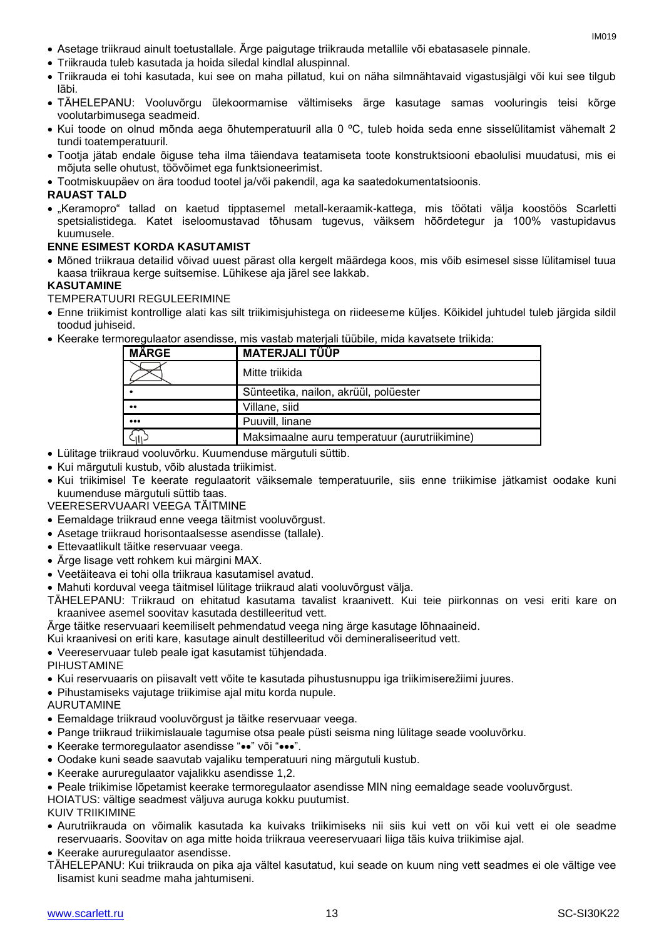- Asetage triikraud ainult toetustallale. Ärge paigutage triikrauda metallile või ebatasasele pinnale.
- Triikrauda tuleb kasutada ja hoida siledal kindlal aluspinnal.
- Triikrauda ei tohi kasutada, kui see on maha pillatud, kui on näha silmnähtavaid vigastusjälgi või kui see tilgub läbi.
- TÄHELEPANU: Vooluvõrgu ülekoormamise vältimiseks ärge kasutage samas vooluringis teisi kõrge voolutarbimusega seadmeid.
- Kui toode on olnud mõnda aega õhutemperatuuril alla 0 ºC, tuleb hoida seda enne sisselülitamist vähemalt 2 tundi toatemperatuuril.
- Tootja jätab endale õiguse teha ilma täiendava teatamiseta toote konstruktsiooni ebaolulisi muudatusi, mis ei mõjuta selle ohutust, töövõimet ega funktsioneerimist.
- Tootmiskuupäev on ära toodud tootel ja/või pakendil, aga ka saatedokumentatsioonis.

#### **RAUAST TALD**

 "Keramopro" tallad on kaetud tipptasemel metall-keraamik-kattega, mis töötati välja koostöös Scarletti spetsialistidega. Katet iseloomustavad tõhusam tugevus, väiksem hõõrdetegur ja 100% vastupidavus kuumusele.

#### **ENNE ESIMEST KORDA KASUTAMIST**

 Mõned triikraua detailid võivad uuest pärast olla kergelt määrdega koos, mis võib esimesel sisse lülitamisel tuua kaasa triikraua kerge suitsemise. Lühikese aja järel see lakkab.

#### **KASUTAMINE**

TEMPERATUURI REGULEERIMINE

- Enne triikimist kontrollige alati kas silt triikimisjuhistega on riideeseme küljes. Kõikidel juhtudel tuleb järgida sildil toodud juhiseid.
- Keerake termoregulaator asendisse, mis vastab materjali tüübile, mida kavatsete triikida:

| <b>MÄRGE</b>            | <b>MATERJALI TÜÜP</b>                         |
|-------------------------|-----------------------------------------------|
|                         | Mitte triikida                                |
|                         | Sünteetika, nailon, akrüül, polüester         |
| $^{\bullet}$            | Villane, siid                                 |
| $\bullet\bullet\bullet$ | Puuvill, linane                               |
|                         | Maksimaalne auru temperatuur (aurutriikimine) |

- Lülitage triikraud vooluvõrku. Kuumenduse märgutuli süttib.
- Kui märgutuli kustub, võib alustada triikimist.
- Kui triikimisel Te keerate regulaatorit väiksemale temperatuurile, siis enne triikimise jätkamist oodake kuni kuumenduse märgutuli süttib taas.
- VEERESERVUAARI VEEGA TÄITMINE
- Eemaldage triikraud enne veega täitmist vooluvõrgust.
- Asetage triikraud horisontaalsesse asendisse (tallale).
- Ettevaatlikult täitke reservuaar veega.
- Ärge lisage vett rohkem kui märgini MAX.
- Veetäiteava ei tohi olla triikraua kasutamisel avatud.
- Mahuti korduval veega täitmisel lülitage triikraud alati vooluvõrgust välja.
- TÄHELEPANU: Triikraud on ehitatud kasutama tavalist kraanivett. Kui teie piirkonnas on vesi eriti kare on kraanivee asemel soovitav kasutada destilleeritud vett.
- Ärge täitke reservuaari keemiliselt pehmendatud veega ning ärge kasutage lõhnaaineid.
- Kui kraanivesi on eriti kare, kasutage ainult destilleeritud või demineraliseeritud vett.
- Veereservuaar tuleb peale igat kasutamist tühjendada.
- PIHUSTAMINE
- Kui reservuaaris on piisavalt vett võite te kasutada pihustusnuppu iga triikimiserežiimi juures.
- Pihustamiseks vajutage triikimise ajal mitu korda nupule.
- AURUTAMINE
- Eemaldage triikraud vooluvõrgust ja täitke reservuaar veega.
- Pange triikraud triikimislauale tagumise otsa peale püsti seisma ning lülitage seade vooluvõrku.
- Keerake termoregulaator asendisse "••" või "•••".
- Oodake kuni seade saavutab vajaliku temperatuuri ning märgutuli kustub.
- Keerake aururegulaator vajalikku asendisse 1,2.
- Peale triikimise lõpetamist keerake termoregulaator asendisse MIN ning eemaldage seade vooluvõrgust.

HOIATUS: vältige seadmest väljuva auruga kokku puutumist.

#### KUIV TRIIKIMINE

- Aurutriikrauda on võimalik kasutada ka kuivaks triikimiseks nii siis kui vett on või kui vett ei ole seadme reservuaaris. Soovitav on aga mitte hoida triikraua veereservuaari liiga täis kuiva triikimise ajal.
- Keerake aururegulaator asendisse.
- TÄHELEPANU: Kui triikrauda on pika aja vältel kasutatud, kui seade on kuum ning vett seadmes ei ole vältige vee lisamist kuni seadme maha jahtumiseni.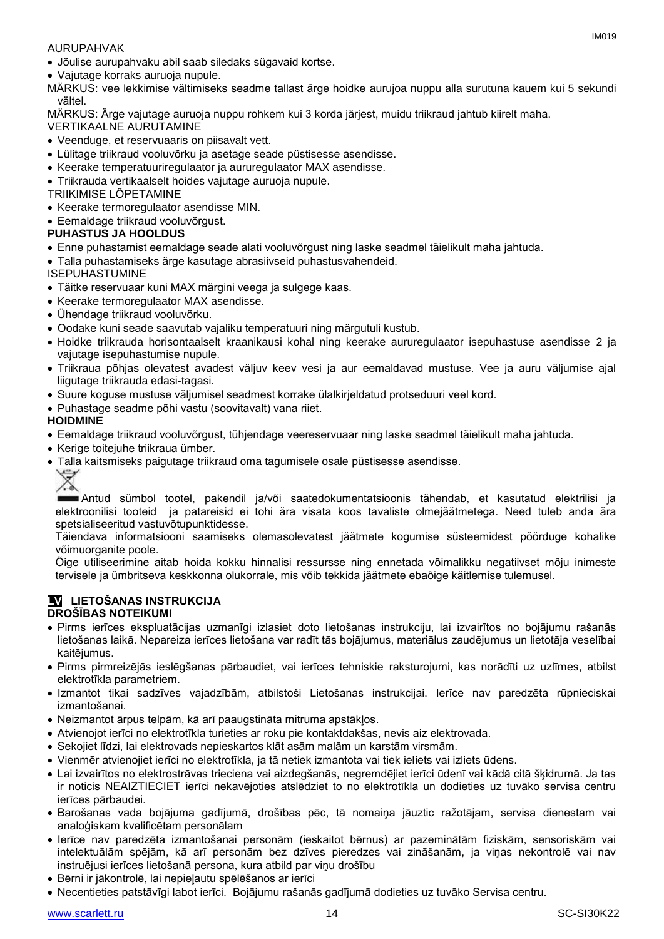#### AURUPAHVAK

Jõulise aurupahvaku abil saab siledaks sügavaid kortse.

Vajutage korraks auruoja nupule.

MÄRKUS: vee lekkimise vältimiseks seadme tallast ärge hoidke aurujoa nuppu alla surutuna kauem kui 5 sekundi vältel.

MÄRKUS: Ärge vajutage auruoja nuppu rohkem kui 3 korda järjest, muidu triikraud jahtub kiirelt maha.

- VERTIKAALNE AURUTAMINE
- Veenduge, et reservuaaris on piisavalt vett.
- Lülitage triikraud vooluvõrku ja asetage seade püstisesse asendisse.
- Keerake temperatuuriregulaator ja aururegulaator MAX asendisse.
- Triikrauda vertikaalselt hoides vajutage auruoja nupule.
- TRIIKIMISE LÕPETAMINE
- Keerake termoregulaator asendisse MIN.
- Eemaldage triikraud vooluvõrgust.
- **PUHASTUS JA HOOLDUS**
- Enne puhastamist eemaldage seade alati vooluvõrgust ning laske seadmel täielikult maha jahtuda.
- Talla puhastamiseks ärge kasutage abrasiivseid puhastusvahendeid.
- ISEPUHASTUMINE
- Täitke reservuaar kuni MAX märgini veega ja sulgege kaas.
- Keerake termoregulaator MAX asendisse.
- Ühendage triikraud vooluvõrku.
- Oodake kuni seade saavutab vajaliku temperatuuri ning märgutuli kustub.
- Hoidke triikrauda horisontaalselt kraanikausi kohal ning keerake aururegulaator isepuhastuse asendisse 2 ja vajutage isepuhastumise nupule.
- Triikraua põhjas olevatest avadest väljuv keev vesi ja aur eemaldavad mustuse. Vee ja auru väljumise ajal liigutage triikrauda edasi-tagasi.
- Suure koguse mustuse väljumisel seadmest korrake ülalkirjeldatud protseduuri veel kord.
- Puhastage seadme põhi vastu (soovitavalt) vana riiet.

#### **HOIDMINE**

- Eemaldage triikraud vooluvõrgust, tühjendage veereservuaar ning laske seadmel täielikult maha jahtuda.
- Kerige toitejuhe triikraua ümber.
- Talla kaitsmiseks paigutage triikraud oma tagumisele osale püstisesse asendisse.
	-

Antud sümbol tootel, pakendil ja/või saatedokumentatsioonis tähendab, et kasutatud elektrilisi ja elektroonilisi tooteid ja patareisid ei tohi ära visata koos tavaliste olmejäätmetega. Need tuleb anda ära spetsialiseeritud vastuvõtupunktidesse.

Täiendava informatsiooni saamiseks olemasolevatest jäätmete kogumise süsteemidest pöörduge kohalike võimuorganite poole.

Õige utiliseerimine aitab hoida kokku hinnalisi ressursse ning ennetada võimalikku negatiivset mõju inimeste tervisele ja ümbritseva keskkonna olukorrale, mis võib tekkida jäätmete ebaõige käitlemise tulemusel.

#### **LV LIETOŠANAS INSTRUKCIJA DROŠĪBAS NOTEIKUMI**

- Pirms ierīces ekspluatācijas uzmanīgi izlasiet doto lietošanas instrukciju, lai izvairītos no bojājumu rašanās lietošanas laikā. Nepareiza ierīces lietošana var radīt tās bojājumus, materiālus zaudējumus un lietotāja veselībai kaitējumus.
- Pirms pirmreizējās ieslēgšanas pārbaudiet, vai ierīces tehniskie raksturojumi, kas norādīti uz uzlīmes, atbilst elektrotīkla parametriem.
- Izmantot tikai sadzīves vajadzībām, atbilstoši Lietošanas instrukcijai. Ierīce nav paredzēta rūpnieciskai izmantošanai.
- Neizmantot ārpus telpām, kā arī paaugstināta mitruma apstākļos.
- Atvienojot ierīci no elektrotīkla turieties ar roku pie kontaktdakšas, nevis aiz elektrovada.
- Sekojiet līdzi, lai elektrovads nepieskartos klāt asām malām un karstām virsmām.
- Vienmēr atvienojiet ierīci no elektrotīkla, ja tā netiek izmantota vai tiek ieliets vai izliets ūdens.
- Lai izvairītos no elektrostrāvas trieciena vai aizdegšanās, negremdējiet ierīci ūdenī vai kādā citā šķidrumā. Ja tas ir noticis NEAIZTIECIET ierīci nekavējoties atslēdziet to no elektrotīkla un dodieties uz tuvāko servisa centru ierīces pārbaudei.
- Barošanas vada bojājuma gadījumā, drošības pēc, tā nomaiņa jāuztic ražotājam, servisa dienestam vai analoģiskam kvalificētam personālam
- Ierīce nav paredzēta izmantošanai personām (ieskaitot bērnus) ar pazeminātām fiziskām, sensoriskām vai intelektuālām spējām, kā arī personām bez dzīves pieredzes vai zināšanām, ja viņas nekontrolē vai nav instruējusi ierīces lietošanā persona, kura atbild par viņu drošību
- Bērni ir jākontrolē, lai nepieļautu spēlēšanos ar ierīci
- Necentieties patstāvīgi labot ierīci. Bojājumu rašanās gadījumā dodieties uz tuvāko Servisa centru.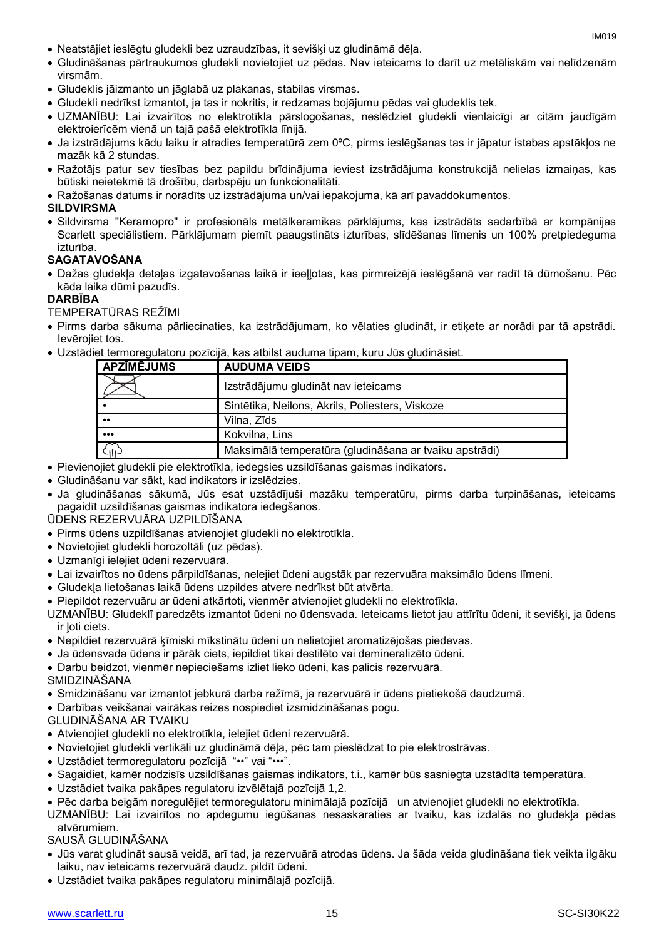- Neatstājiet ieslēgtu gludekli bez uzraudzības, it sevišķi uz gludināmā dēļa.
- Gludināšanas pārtraukumos gludekli novietojiet uz pēdas. Nav ieteicams to darīt uz metāliskām vai nelīdzenām virsmām.
- Gludeklis jāizmanto un jāglabā uz plakanas, stabilas virsmas.
- Gludekli nedrīkst izmantot, ja tas ir nokritis, ir redzamas bojājumu pēdas vai gludeklis tek.
- UZMANĪBU: Lai izvairītos no elektrotīkla pārslogošanas, neslēdziet gludekli vienlaicīgi ar citām jaudīgām elektroierīcēm vienā un tajā pašā elektrotīkla līnijā.
- Ja izstrādājums kādu laiku ir atradies temperatūrā zem 0ºC, pirms ieslēgšanas tas ir jāpatur istabas apstākļos ne mazāk kā 2 stundas.
- Ražotājs patur sev tiesības bez papildu brīdinājuma ieviest izstrādājuma konstrukcijā nelielas izmaiņas, kas būtiski neietekmē tā drošību, darbspēju un funkcionalitāti.
- Ražošanas datums ir norādīts uz izstrādājuma un/vai iepakojuma, kā arī pavaddokumentos.

#### **SILDVIRSMA**

 Sildvirsma "Keramopro" ir profesionāls metālkeramikas pārklājums, kas izstrādāts sadarbībā ar kompānijas Scarlett speciālistiem. Pārklājumam piemīt paaugstināts izturības, slīdēšanas līmenis un 100% pretpiedeguma izturība.

#### **SAGATAVOŠANA**

 Dažas gludekļa detaļas izgatavošanas laikā ir ieeļļotas, kas pirmreizējā ieslēgšanā var radīt tā dūmošanu. Pēc kāda laika dūmi pazudīs.

#### **DARBĪBA**

TEMPERATŪRAS REŽĪMI

- Pirms darba sākuma pārliecinaties, ka izstrādājumam, ko vēlaties gludināt, ir etiķete ar norādi par tā apstrādi. Ievērojiet tos.
- Uzstādiet termoregulatoru pozīcijā, kas atbilst auduma tipam, kuru Jūs gludināsiet.

| <b>APZĪMĒJUMS</b>       | <b>AUDUMA VEIDS</b>                                    |
|-------------------------|--------------------------------------------------------|
|                         | Izstrādājumu gludināt nav ieteicams                    |
|                         | Sintētika, Neilons, Akrils, Poliesters, Viskoze        |
| $\bullet\bullet$        | Vilna, Zīds                                            |
| $\bullet\bullet\bullet$ | Kokvilna, Lins                                         |
|                         | Maksimālā temperatūra (gludināšana ar tvaiku apstrādi) |

- Pievienojiet gludekli pie elektrotīkla, iedegsies uzsildīšanas gaismas indikators.
- Gludināšanu var sākt, kad indikators ir izslēdzies.
- Ja gludināšanas sākumā, Jūs esat uzstādījuši mazāku temperatūru, pirms darba turpināšanas, ieteicams pagaidīt uzsildīšanas gaismas indikatora iedegšanos.

ŪDENS REZERVUĀRA UZPILDĪŠANA

- Pirms ūdens uzpildīšanas atvienojiet gludekli no elektrotīkla.
- Novietojiet gludekli horozoltāli (uz pēdas).
- Uzmanīgi ielejiet ūdeni rezervuārā.
- Lai izvairītos no ūdens pārpildīšanas, nelejiet ūdeni augstāk par rezervuāra maksimālo ūdens līmeni.
- Gludekļa lietošanas laikā ūdens uzpildes atvere nedrīkst būt atvērta.
- Piepildot rezervuāru ar ūdeni atkārtoti, vienmēr atvienojiet gludekli no elektrotīkla.
- UZMANĪBU: Gludeklī paredzēts izmantot ūdeni no ūdensvada. Ieteicams lietot jau attīrītu ūdeni, it sevišķi, ja ūdens ir ļoti ciets.
- Nepildiet rezervuārā ķīmiski mīkstinātu ūdeni un nelietojiet aromatizējošas piedevas.
- Ja ūdensvada ūdens ir pārāk ciets, iepildiet tikai destilēto vai demineralizēto ūdeni.
- Darbu beidzot, vienmēr nepieciešams izliet lieko ūdeni, kas palicis rezervuārā.
- SMIDZINĀŠANA
- Smidzināšanu var izmantot jebkurā darba režīmā, ja rezervuārā ir ūdens pietiekošā daudzumā.
- Darbības veikšanai vairākas reizes nospiediet izsmidzināšanas pogu.
- GLUDINĀŠANA AR TVAIKU
- Atvienojiet gludekli no elektrotīkla, ielejiet ūdeni rezervuārā.
- Novietojiet gludekli vertikāli uz gludināmā dēļa, pēc tam pieslēdzat to pie elektrostrāvas.
- Uzstādiet termoregulatoru pozīcijā "••" vai "•••".
- Sagaidiet, kamēr nodzisīs uzsildīšanas gaismas indikators, t.i., kamēr būs sasniegta uzstādītā temperatūra.
- Uzstādiet tvaika pakāpes regulatoru izvēlētajā pozīcijā 1,2.
- Pēc darba beigām noregulējiet termoregulatoru minimālajā pozīcijā un atvienojiet gludekli no elektrotīkla.
- UZMANĪBU: Lai izvairītos no apdegumu iegūšanas nesaskaraties ar tvaiku, kas izdalās no gludekļa pēdas atvērumiem.

SAUSĀ GLUDINĀŠANA

- Jūs varat gludināt sausā veidā, arī tad, ja rezervuārā atrodas ūdens. Ja šāda veida gludināšana tiek veikta ilgāku laiku, nav ieteicams rezervuārā daudz. pildīt ūdeni.
- Uzstādiet tvaika pakāpes regulatoru minimālajā pozīcijā.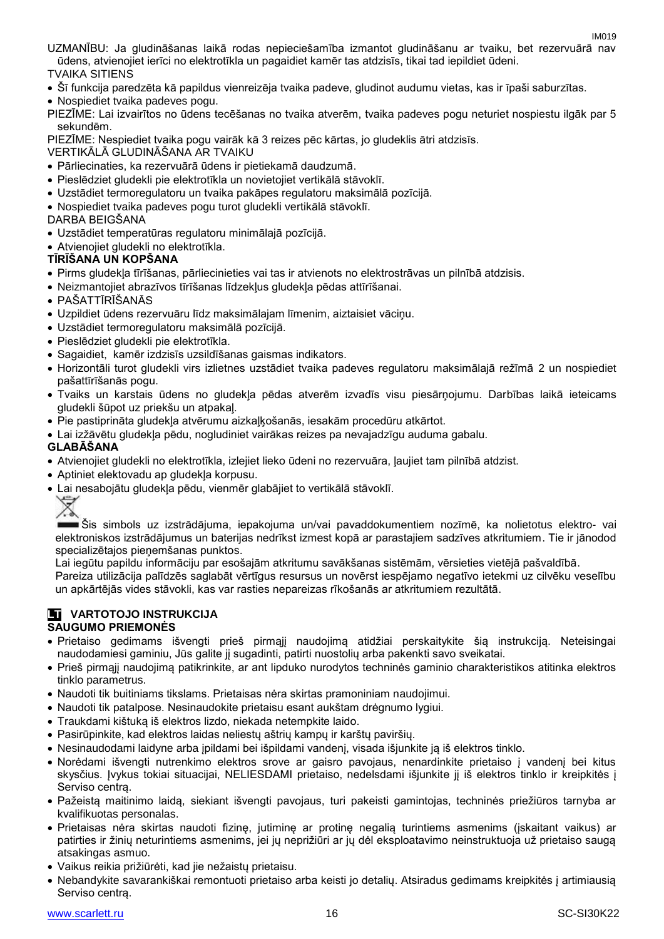UZMANĪBU: Ja gludināšanas laikā rodas nepieciešamība izmantot gludināšanu ar tvaiku, bet rezervuārā nav ūdens, atvienojiet ierīci no elektrotīkla un pagaidiet kamēr tas atdzisīs, tikai tad iepildiet ūdeni.

TVAIKA SITIENS

Šī funkcija paredzēta kā papildus vienreizēja tvaika padeve, gludinot audumu vietas, kas ir īpaši saburzītas.

Nospiediet tvaika padeves pogu.

PIEZĪME: Lai izvairītos no ūdens tecēšanas no tvaika atverēm, tvaika padeves pogu neturiet nospiestu ilgāk par 5 sekundēm.

PIEZĪME: Nespiediet tvaika pogu vairāk kā 3 reizes pēc kārtas, jo gludeklis ātri atdzisīs.

VERTIKĀLĀ GLUDINĀŠANA AR TVAIKU

- Pārliecinaties, ka rezervuārā ūdens ir pietiekamā daudzumā.
- Pieslēdziet gludekli pie elektrotīkla un novietojiet vertikālā stāvoklī.
- Uzstādiet termoregulatoru un tvaika pakāpes regulatoru maksimālā pozīcijā.
- Nospiediet tvaika padeves pogu turot gludekli vertikālā stāvoklī.

DARBA BEIGŠANA

- Uzstādiet temperatūras regulatoru minimālajā pozīcijā.
- Atvienojiet gludekli no elektrotīkla.

#### **TĪRĪŠANA UN KOPŠANA**

- Pirms gludekļa tīrīšanas, pārliecinieties vai tas ir atvienots no elektrostrāvas un pilnībā atdzisis.
- Neizmantojiet abrazīvos tīrīšanas līdzekļus gludekļa pēdas attīrīšanai.
- PAŠATTĪRĪŠANĀS
- Uzpildiet ūdens rezervuāru līdz maksimālajam līmenim, aiztaisiet vāciņu.
- Uzstādiet termoregulatoru maksimālā pozīcijā.
- Pieslēdziet gludekli pie elektrotīkla.
- Sagaidiet, kamēr izdzisīs uzsildīšanas gaismas indikators.
- Horizontāli turot gludekli virs izlietnes uzstādiet tvaika padeves regulatoru maksimālajā režīmā 2 un nospiediet pašattīrīšanās pogu.
- Tvaiks un karstais ūdens no gludekļa pēdas atverēm izvadīs visu piesārņojumu. Darbības laikā ieteicams gludekli šūpot uz priekšu un atpakaļ.
- Pie pastiprināta gludekļa atvērumu aizkaļķošanās, iesakām procedūru atkārtot.
- Lai izžāvētu gludekļa pēdu, nogludiniet vairākas reizes pa nevajadzīgu auduma gabalu.

#### **GLABĀŠANA**

- Atvienojiet gludekli no elektrotīkla, izlejiet lieko ūdeni no rezervuāra, ļaujiet tam pilnībā atdzist.
- Aptiniet elektovadu ap gludekļa korpusu.
- Lai nesabojātu gludekļa pēdu, vienmēr glabājiet to vertikālā stāvoklī.



Šis simbols uz izstrādājuma, iepakojuma un/vai pavaddokumentiem nozīmē, ka nolietotus elektro- vai elektroniskos izstrādājumus un baterijas nedrīkst izmest kopā ar parastajiem sadzīves atkritumiem. Tie ir jānodod specializētajos pieņemšanas punktos.

Lai iegūtu papildu informāciju par esošajām atkritumu savākšanas sistēmām, vērsieties vietējā pašvaldībā.

Pareiza utilizācija palīdzēs saglabāt vērtīgus resursus un novērst iespējamo negatīvo ietekmi uz cilvēku veselību un apkārtējās vides stāvokli, kas var rasties nepareizas rīkošanās ar atkritumiem rezultātā.

## **LT VARTOTOJO INSTRUKCIJA**

#### **SAUGUMO PRIEMONĖS**

- Prietaiso gedimams išvengti prieš pirmąjį naudojimą atidžiai perskaitykite šią instrukciją. Neteisingai naudodamiesi gaminiu, Jūs galite jį sugadinti, patirti nuostolių arba pakenkti savo sveikatai.
- Prieš pirmąjį naudojimą patikrinkite, ar ant lipduko nurodytos techninės gaminio charakteristikos atitinka elektros tinklo parametrus.
- Naudoti tik buitiniams tikslams. Prietaisas nėra skirtas pramoniniam naudojimui.
- Naudoti tik patalpose. Nesinaudokite prietaisu esant aukštam drėgnumo lygiui.
- Traukdami kištuką iš elektros lizdo, niekada netempkite laido.
- Pasirūpinkite, kad elektros laidas neliestų aštrių kampų ir karštų paviršių.
- Nesinaudodami laidyne arba įpildami bei išpildami vandenį, visada išjunkite ją iš elektros tinklo.
- Norėdami išvengti nutrenkimo elektros srove ar gaisro pavojaus, nenardinkite prietaiso į vandenį bei kitus skysčius. Įvykus tokiai situacijai, NELIESDAMI prietaiso, nedelsdami išjunkite jį iš elektros tinklo ir kreipkitės į Serviso centrą.
- Pažeistą maitinimo laidą, siekiant išvengti pavojaus, turi pakeisti gamintojas, techninės priežiūros tarnyba ar kvalifikuotas personalas.
- Prietaisas nėra skirtas naudoti fizinę, jutiminę ar protinę negalią turintiems asmenims (įskaitant vaikus) ar patirties ir žinių neturintiems asmenims, jei jų neprižiūri ar jų dėl eksploatavimo neinstruktuoja už prietaiso saugą atsakingas asmuo.
- Vaikus reikia prižiūrėti, kad jie nežaistų prietaisu.
- Nebandykite savarankiškai remontuoti prietaiso arba keisti jo detalių. Atsiradus gedimams kreipkitės į artimiausią Serviso centrą.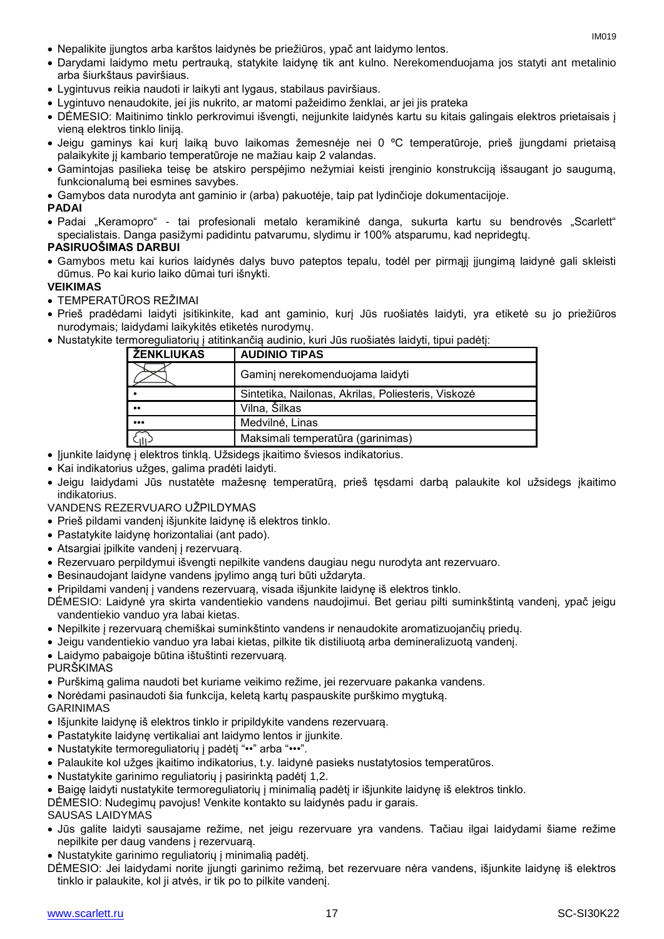- Nepalikite įjungtos arba karštos laidynės be priežiūros, ypač ant laidymo lentos.
- Darydami laidymo metu pertrauką, statykite laidynę tik ant kulno. Nerekomenduojama jos statyti ant metalinio arba šiurkštaus paviršiaus.
- Lygintuvus reikia naudoti ir laikyti ant lygaus, stabilaus paviršiaus.
- Lygintuvo nenaudokite, jei jis nukrito, ar matomi pažeidimo ženklai, ar jei jis prateka
- DĖMESIO: Maitinimo tinklo perkrovimui išvengti, neįjunkite laidynės kartu su kitais galingais elektros prietaisais į vieną elektros tinklo liniją.
- Jeigu gaminys kai kurį laiką buvo laikomas žemesnėje nei 0 ºC temperatūroje, prieš įjungdami prietaisą palaikykite jį kambario temperatūroje ne mažiau kaip 2 valandas.
- Gamintojas pasilieka teisę be atskiro perspėjimo nežymiai keisti įrenginio konstrukciją išsaugant jo saugumą, funkcionalumą bei esmines savybes.
- Gamybos data nurodyta ant gaminio ir (arba) pakuotėje, taip pat lydinčioje dokumentacijoje.

#### **PADAI**

• Padai "Keramopro" - tai profesionali metalo keramikinė danga, sukurta kartu su bendrovės "Scarlett" specialistais. Danga pasižymi padidintu patvarumu, slydimu ir 100% atsparumu, kad nepridegtų.

#### **PASIRUOŠIMAS DARBUI**

 Gamybos metu kai kurios laidynės dalys buvo pateptos tepalu, todėl per pirmąjį įjungimą laidynė gali skleisti dūmus. Po kai kurio laiko dūmai turi išnykti.

#### **VEIKIMAS**

- TEMPERATŪROS REŽIMAI
- Prieš pradėdami laidyti įsitikinkite, kad ant gaminio, kurį Jūs ruošiatės laidyti, yra etiketė su jo priežiūros nurodymais; laidydami laikykitės etiketės nurodymų.
- Nustatykite termoreguliatorių į atitinkančią audinio, kuri Jūs ruošiatės laidyti, tipui padėtį:

| <u> ŽENKLIUKAS</u> | <b>AUDINIO TIPAS</b>                               |
|--------------------|----------------------------------------------------|
|                    | Gaminj nerekomenduojama laidyti                    |
|                    | Sintetika, Nailonas, Akrilas, Poliesteris, Viskozė |
| $^{\bullet}$       | Vilna, Šilkas                                      |
|                    | Medvilnė, Linas                                    |
|                    | Maksimali temperatūra (garinimas)                  |

- Jjunkite laidynę į elektros tinklą. Užsidegs įkaitimo šviesos indikatorius.
- Kai indikatorius užges, galima pradėti laidyti.
- Jeigu laidydami Jūs nustatėte mažesnę temperatūrą, prieš tęsdami darbą palaukite kol užsidegs įkaitimo indikatorius.

VANDENS REZERVUARO UŽPILDYMAS

- Prieš pildami vandenį išjunkite laidynę iš elektros tinklo.
- Pastatykite laidynę horizontaliai (ant pado).
- Atsargiai įpilkite vandenį į rezervuarą.
- Rezervuaro perpildymui išvengti nepilkite vandens daugiau negu nurodyta ant rezervuaro.
- Besinaudojant laidyne vandens įpylimo angą turi būti uždaryta.
- Pripildami vandenį į vandens rezervuarą, visada išjunkite laidynę iš elektros tinklo.
- DĖMESIO: Laidynė yra skirta vandentiekio vandens naudojimui. Bet geriau pilti suminkštintą vandenį, ypač jeigu vandentiekio vanduo yra labai kietas.
- Nepilkite į rezervuarą chemiškai suminkštinto vandens ir nenaudokite aromatizuojančių priedų.
- Jeigu vandentiekio vanduo yra labai kietas, pilkite tik distiliuotą arba demineralizuotą vandenį.
- Laidymo pabaigoje būtina ištuštinti rezervuarą.

PURŠKIMAS

- Purškimą galima naudoti bet kuriame veikimo režime, jei rezervuare pakanka vandens.
- Norėdami pasinaudoti šia funkcija, keletą kartų paspauskite purškimo mygtuką.

#### GARINIMAS

- Išjunkite laidynę iš elektros tinklo ir pripildykite vandens rezervuarą.
- Pastatykite laidyne vertikaliai ant laidymo lentos ir ijunkite.
- Nustatykite termoreguliatorių į padėtį "••" arba "•••".
- Palaukite kol užges įkaitimo indikatorius, t.y. laidynė pasieks nustatytosios temperatūros.
- Nustatykite garinimo reguliatorių į pasirinktą padėtį 1,2.
- Baigę laidyti nustatykite termoreguliatorių į minimalią padėtį ir išjunkite laidynę iš elektros tinklo.
- DĖMESIO: Nudegimų pavojus! Venkite kontakto su laidynės padu ir garais.

#### SAUSAS LAIDYMAS

- Jūs galite laidyti sausajame režime, net jeigu rezervuare yra vandens. Tačiau ilgai laidydami šiame režime nepilkite per daug vandens į rezervuarą.
- Nustatykite garinimo reguliatorių į minimalią padėtį.
- DĖMESIO: Jei laidydami norite įjungti garinimo režimą, bet rezervuare nėra vandens, išjunkite laidynę iš elektros tinklo ir palaukite, kol ji atvės, ir tik po to pilkite vandenį.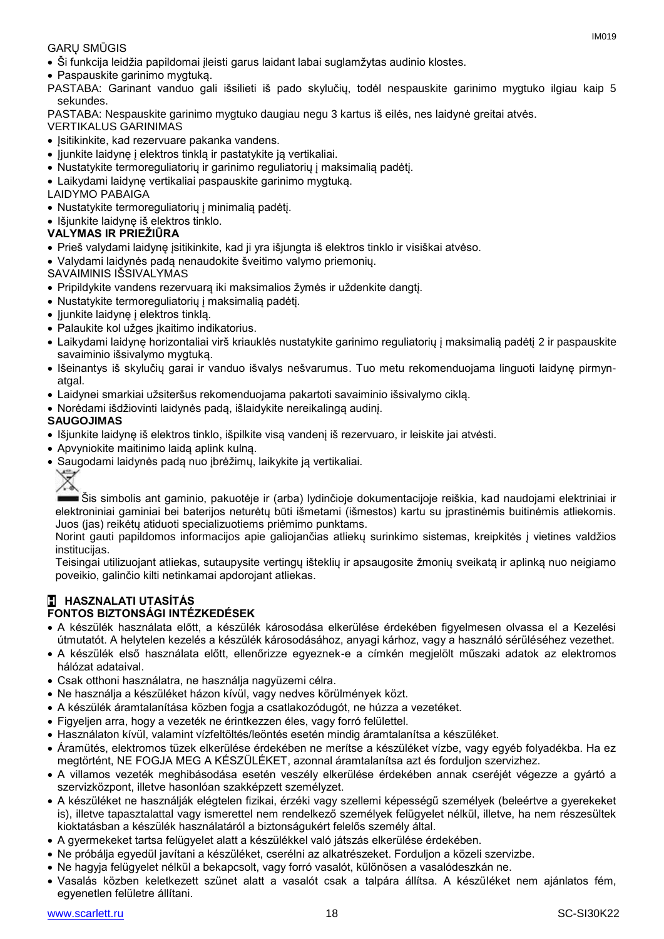#### GARŲ SMŪGIS

- Ši funkcija leidžia papildomai įleisti garus laidant labai suglamžytas audinio klostes.
- Paspauskite garinimo mygtuką.

PASTABA: Garinant vanduo gali išsilieti iš pado skylučių, todėl nespauskite garinimo mygtuko ilgiau kaip 5 sekundes.

PASTABA: Nespauskite garinimo mygtuko daugiau negu 3 kartus iš eilės, nes laidynė greitai atvės.

- VERTIKALUS GARINIMAS
- Įsitikinkite, kad rezervuare pakanka vandens.
- ljunkite laidynę į elektros tinklą ir pastatykite ją vertikaliai.
- Nustatykite termoreguliatorių ir garinimo reguliatorių į maksimalią padėtį.
- Laikydami laidynę vertikaliai paspauskite garinimo mygtuką.
- LAIDYMO PABAIGA
- Nustatykite termoreguliatorių į minimalią padėtį.
- Išjunkite laidynę iš elektros tinklo.

#### **VALYMAS IR PRIEŽIŪRA**

- Prieš valydami laidynę įsitikinkite, kad ji yra išjungta iš elektros tinklo ir visiškai atvėso.
- Valydami laidynės padą nenaudokite šveitimo valymo priemonių.
- SAVAIMINIS IŠSIVALYMAS
- Pripildykite vandens rezervuarą iki maksimalios žymės ir uždenkite dangtį.
- Nustatykite termoreguliatorių į maksimalią padėtį.
- ljunkite laidyne į elektros tinklą.
- Palaukite kol užges ikaitimo indikatorius.
- Laikydami laidynę horizontaliai virš kriauklės nustatykite garinimo reguliatorių į maksimalią padėtį 2 ir paspauskite savaiminio išsivalymo mygtuką.
- Išeinantys iš skylučių garai ir vanduo išvalys nešvarumus. Tuo metu rekomenduojama linguoti laidynę pirmynatgal.
- Laidynei smarkiai užsiteršus rekomenduojama pakartoti savaiminio išsivalymo ciklą.
- Norėdami išdžiovinti laidynės padą, išlaidykite nereikalingą audinį.

#### **SAUGOJIMAS**

- Išjunkite laidynę iš elektros tinklo, išpilkite visą vandenį iš rezervuaro, ir leiskite jai atvėsti.
- Apvyniokite maitinimo laidą aplink kulną.
- Saugodami laidynės padą nuo įbrėžimų, laikykite ją vertikaliai.
	-

Šis simbolis ant gaminio, pakuotėje ir (arba) lydinčioje dokumentacijoje reiškia, kad naudojami elektriniai ir elektroniniai gaminiai bei baterijos neturėtų būti išmetami (išmestos) kartu su įprastinėmis buitinėmis atliekomis. Juos (jas) reikėtų atiduoti specializuotiems priėmimo punktams.

Norint gauti papildomos informacijos apie galiojančias atliekų surinkimo sistemas, kreipkitės į vietines valdžios institucijas.

Teisingai utilizuojant atliekas, sutaupysite vertingų išteklių ir apsaugosite žmonių sveikatą ir aplinką nuo neigiamo poveikio, galinčio kilti netinkamai apdorojant atliekas.

### **H HASZNALATI UTASÍTÁS**

#### **FONTOS BIZTONSÁGI INTÉZKEDÉSEK**

- A készülék használata előtt, a készülék károsodása elkerülése érdekében figyelmesen olvassa el a Kezelési útmutatót. A helytelen kezelés a készülék károsodásához, anyagi kárhoz, vagy a használó sérüléséhez vezethet.
- A készülék első használata előtt, ellenőrizze egyeznek-e a címkén megjelölt műszaki adatok az elektromos hálózat adataival.
- Csak otthoni használatra, ne használja nagyüzemi célra.
- Ne használja a készüléket házon kívül, vagy nedves körülmények közt.
- A készülék áramtalanítása közben fogja a csatlakozódugót, ne húzza a vezetéket.
- Figyeljen arra, hogy a vezeték ne érintkezzen éles, vagy forró felülettel.
- Használaton kívül, valamint vízfeltöltés/leöntés esetén mindig áramtalanítsa a készüléket.
- Áramütés, elektromos tüzek elkerülése érdekében ne merítse a készüléket vízbe, vagy egyéb folyadékba. Ha ez megtörtént, NE FOGJA MEG A KÉSZÜLÉKET, azonnal áramtalanítsa azt és forduljon szervizhez.
- A villamos vezeték meghibásodása esetén veszély elkerülése érdekében annak cseréjét végezze a gyártó a szervizközpont, illetve hasonlóan szakképzett személyzet.
- A készüléket ne használják elégtelen fizikai, érzéki vagy szellemi képességű személyek (beleértve a gyerekeket is), illetve tapasztalattal vagy ismerettel nem rendelkező személyek felügyelet nélkül, illetve, ha nem részesültek kioktatásban a készülék használatáról a biztonságukért felelős személy által.
- A gyermekeket tartsa felügyelet alatt a készülékkel való játszás elkerülése érdekében.
- Ne próbálja egyedül javítani a készüléket, cserélni az alkatrészeket. Forduljon a közeli szervizbe.
- Ne hagyja felügyelet nélkül a bekapcsolt, vagy forró vasalót, különösen a vasalódeszkán ne.
- Vasalás közben keletkezett szünet alatt a vasalót csak a talpára állítsa. A készüléket nem ajánlatos fém, egyenetlen felületre állítani.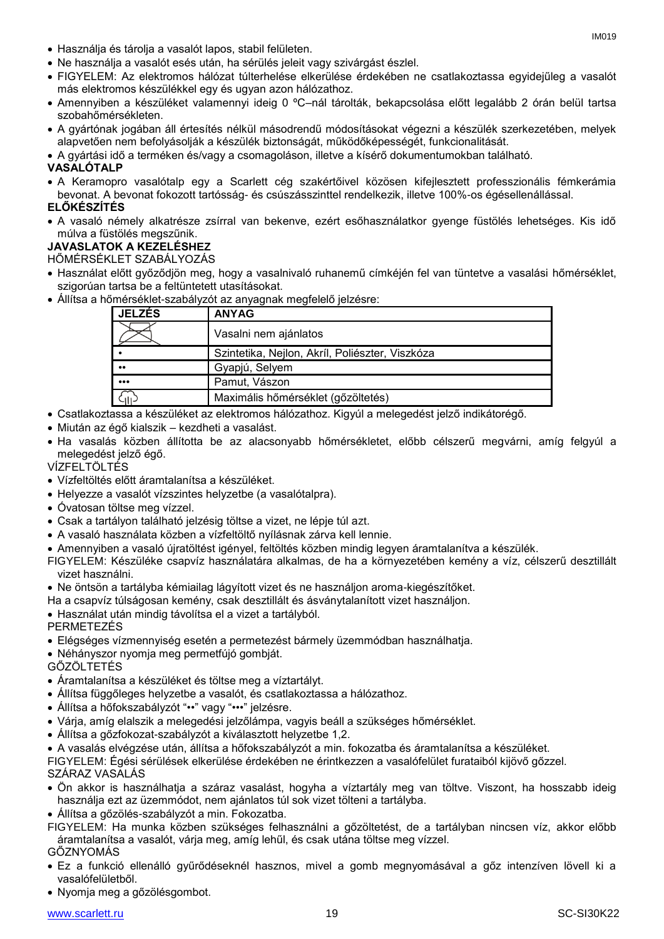- Használja és tárolja a vasalót lapos, stabil felületen.
- Ne használja a vasalót esés után, ha sérülés jeleit vagy szivárgást észlel.
- FIGYELEM: Az elektromos hálózat túlterhelése elkerülése érdekében ne csatlakoztassa egyidejűleg a vasalót más elektromos készülékkel egy és ugyan azon hálózathoz.
- Amennyiben a készüléket valamennyi ideig 0 ºC–nál tárolták, bekapcsolása előtt legalább 2 órán belül tartsa szobahőmérsékleten.
- A gyártónak jogában áll értesítés nélkül másodrendű módosításokat végezni a készülék szerkezetében, melyek alapvetően nem befolyásolják a készülék biztonságát, működőképességét, funkcionalitását.
- A gyártási idő a terméken és/vagy a csomagoláson, illetve a kísérő dokumentumokban található.

#### **VASALÓTALP**

- A Keramopro vasalótalp egy a Scarlett cég szakértőivel közösen kifejlesztett professzionális fémkerámia
- bevonat. A bevonat fokozott tartósság- és csúszásszinttel rendelkezik, illetve 100%-os égésellenállással. **ELŐKÉSZÍTÉS**
- A vasaló némely alkatrésze zsírral van bekenve, ezért esőhasználatkor gyenge füstölés lehetséges. Kis idő múlva a füstölés megszűnik.

### **JAVASLATOK A KEZELÉSHEZ**

HŐMÉRSÉKLET SZABÁLYOZÁS

- Használat előtt győződjön meg, hogy a vasalnivaló ruhanemű címkéjén fel van tüntetve a vasalási hőmérséklet, szigorúan tartsa be a feltüntetett utasításokat.
- Állítsa a hőmérséklet-szabályzót az anyagnak megfelelő jelzésre:

| <b>JELZÉS</b>           | <b>ANYAG</b>                                    |
|-------------------------|-------------------------------------------------|
|                         | Vasalni nem ajánlatos                           |
|                         | Szintetika, Nejlon, Akríl, Poliészter, Viszkóza |
| $\bullet\bullet$        | Gyapjú, Selyem                                  |
| $\bullet\bullet\bullet$ | Pamut, Vászon                                   |
|                         | Maximális hőmérséklet (gőzöltetés)              |

- Csatlakoztassa a készüléket az elektromos hálózathoz. Kigyúl a melegedést jelző indikátorégő.
- Miután az égő kialszik kezdheti a vasalást.
- Ha vasalás közben állította be az alacsonyabb hőmérsékletet, előbb célszerű megvárni, amíg felgyúl a melegedést jelző égő.

VÍZFELTÖLTÉS

- Vízfeltöltés előtt áramtalanítsa a készüléket.
- Helyezze a vasalót vízszintes helyzetbe (a vasalótalpra).
- Óvatosan töltse meg vízzel.
- Csak a tartályon található jelzésig töltse a vizet, ne lépje túl azt.
- A vasaló használata közben a vízfeltöltő nyílásnak zárva kell lennie.
- Amennyiben a vasaló újratöltést igényel, feltöltés közben mindig legyen áramtalanítva a készülék.
- FIGYELEM: Készüléke csapvíz használatára alkalmas, de ha a környezetében kemény a víz, célszerű desztillált vizet használni.
- Ne öntsön a tartályba kémiailag lágyított vizet és ne használjon aroma-kiegészítőket.
- Ha a csapvíz túlságosan kemény, csak desztillált és ásványtalanított vizet használjon.
- Használat után mindig távolítsa el a vizet a tartályból.
- PERMETEZÉS
- Elégséges vízmennyiség esetén a permetezést bármely üzemmódban használhatja.
- Néhányszor nyomja meg permetfújó gombját.
- GŐZÖLTETÉS
- Áramtalanítsa a készüléket és töltse meg a víztartályt.
- Állítsa függőleges helyzetbe a vasalót, és csatlakoztassa a hálózathoz.
- Állítsa a hőfokszabályzót "••" vagy "•••" jelzésre.
- Várja, amíg elalszik a melegedési jelzőlámpa, vagyis beáll a szükséges hőmérséklet.
- Állítsa a gőzfokozat-szabályzót a kiválasztott helyzetbe 1,2.
- A vasalás elvégzése után, állítsa a hőfokszabályzót a min. fokozatba és áramtalanítsa a készüléket.

FIGYELEM: Égési sérülések elkerülése érdekében ne érintkezzen a vasalófelület furataiból kijövő gőzzel. SZÁRAZ VASALÁS

- Ön akkor is használhatja a száraz vasalást, hogyha a víztartály meg van töltve. Viszont, ha hosszabb ideig használja ezt az üzemmódot, nem ajánlatos túl sok vizet tölteni a tartályba.
- Állítsa a gőzölés-szabályzót a min. Fokozatba.
- FIGYELEM: Ha munka közben szükséges felhasználni a gőzöltetést, de a tartályban nincsen víz, akkor előbb áramtalanítsa a vasalót, várja meg, amíg lehűl, és csak utána töltse meg vízzel.

GŐZNYOMÁS

- Ez a funkció ellenálló gyűrődéseknél hasznos, mivel a gomb megnyomásával a gőz intenzíven lövell ki a vasalófelületből.
- Nyomja meg a gőzölésgombot.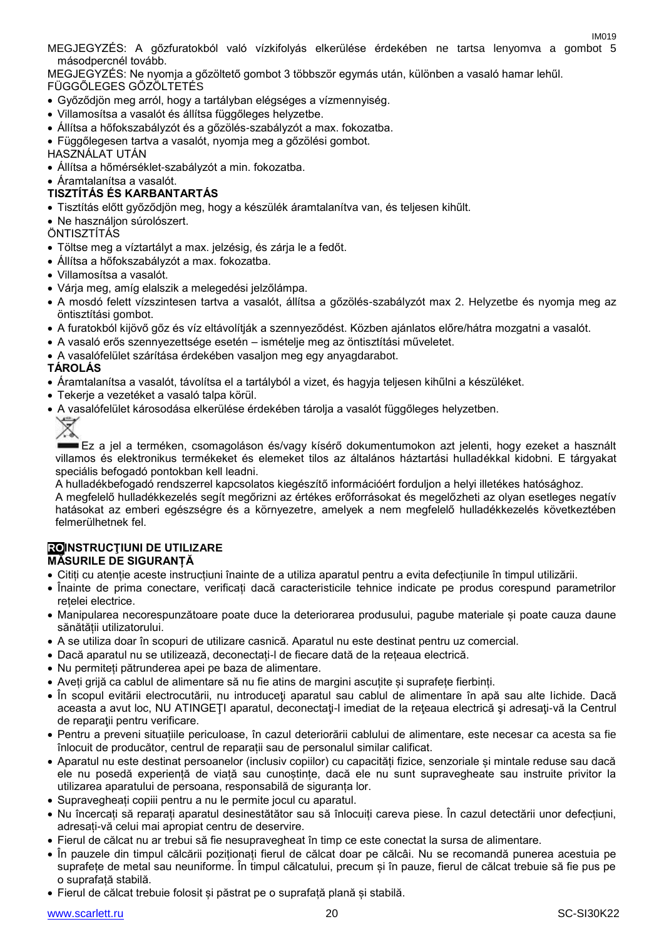IM019 MEGJEGYZÉS: A gőzfuratokból való vízkifolyás elkerülése érdekében ne tartsa lenyomva a gombot 5 másodpercnél tovább.

MEGJEGYZÉS: Ne nyomja a gőzöltető gombot 3 többször egymás után, különben a vasaló hamar lehűl. FÜGGŐLEGES GŐZÖLTETÉS

- Győződjön meg arról, hogy a tartályban elégséges a vízmennyiség.
- Villamosítsa a vasalót és állítsa függőleges helyzetbe.
- Állítsa a hőfokszabályzót és a gőzölés-szabályzót a max. fokozatba.

Függőlegesen tartva a vasalót, nyomja meg a gőzölési gombot.

HASZNÁLAT UTÁN

Állítsa a hőmérséklet-szabályzót a min. fokozatba.

Áramtalanítsa a vasalót.

#### **TISZTÍTÁS ÉS KARBANTARTÁS**

- Tisztítás előtt győződjön meg, hogy a készülék áramtalanítva van, és teljesen kihűlt.
- Ne használjon súrolószert.

**ÖNTISZTÍTÁS** 

- Töltse meg a víztartályt a max. jelzésig, és zárja le a fedőt.
- Állítsa a hőfokszabályzót a max. fokozatba.
- Villamosítsa a vasalót.
- Várja meg, amíg elalszik a melegedési jelzőlámpa.
- A mosdó felett vízszintesen tartva a vasalót, állítsa a gőzölés-szabályzót max 2. Helyzetbe és nyomja meg az öntisztítási gombot.
- A furatokból kijövő gőz és víz eltávolítják a szennyeződést. Közben ajánlatos előre/hátra mozgatni a vasalót.
- A vasaló erős szennyezettsége esetén ismételje meg az öntisztítási műveletet.
- A vasalófelület szárítása érdekében vasaljon meg egy anyagdarabot.

#### **TÁROLÁS**

- Áramtalanítsa a vasalót, távolítsa el a tartályból a vizet, és hagyja teljesen kihűlni a készüléket.
- Tekerje a vezetéket a vasaló talpa körül.
- A vasalófelület károsodása elkerülése érdekében tárolja a vasalót függőleges helyzetben.



Ez a jel a terméken, csomagoláson és/vagy kísérő dokumentumokon azt jelenti, hogy ezeket a használt villamos és elektronikus termékeket és elemeket tilos az általános háztartási hulladékkal kidobni. E tárgyakat speciális befogadó pontokban kell leadni.

A hulladékbefogadó rendszerrel kapcsolatos kiegészítő információért forduljon a helyi illetékes hatósághoz. A megfelelő hulladékkezelés segít megőrizni az értékes erőforrásokat és megelőzheti az olyan esetleges negatív hatásokat az emberi egészségre és a környezetre, amelyek a nem megfelelő hulladékkezelés következtében felmerülhetnek fel.

#### **ROINSTRUCŢIUNI DE UTILIZARE MĂSURILE DE SIGURANȚĂ**

- Citiți cu atenție aceste instrucțiuni înainte de a utiliza aparatul pentru a evita defecțiunile în timpul utilizării.
- Înainte de prima conectare, verificați dacă caracteristicile tehnice indicate pe produs corespund parametrilor rețelei electrice.
- Manipularea necorespunzătoare poate duce la deteriorarea produsului, pagube materiale și poate cauza daune sănătății utilizatorului.
- A se utiliza doar în scopuri de utilizare casnică. Aparatul nu este destinat pentru uz comercial.
- Dacă aparatul nu se utilizează, deconectați-l de fiecare dată de la rețeaua electrică.
- Nu permiteți pătrunderea apei pe baza de alimentare.
- Aveți grijă ca cablul de alimentare să nu fie atins de margini ascuțite și suprafețe fierbinți.
- În scopul evitării electrocutării, nu introduceti aparatul sau cablul de alimentare în apă sau alte lichide. Dacă aceasta a avut loc, NU ATINGEŢI aparatul, deconectaţi-l imediat de la reţeaua electrică şi adresaţi-vă la Centrul de reparații pentru verificare.
- Pentru a preveni situațiile periculoase, în cazul deteriorării cablului de alimentare, este necesar ca acesta sa fie înlocuit de producător, centrul de reparații sau de personalul similar calificat.
- Aparatul nu este destinat persoanelor (inclusiv copiilor) cu capacități fizice, senzoriale și mintale reduse sau dacă ele nu posedă experiență de viață sau cunoștințe, dacă ele nu sunt supravegheate sau instruite privitor la utilizarea aparatului de persoana, responsabilă de siguranța lor.
- Supravegheați copiii pentru a nu le permite jocul cu aparatul.
- Nu încercați să reparați aparatul desinestătător sau să înlocuiți careva piese. În cazul detectării unor defecțiuni, adresați-vă celui mai apropiat centru de deservire.
- Fierul de călcat nu ar trebui să fie nesupravegheat în timp ce este conectat la sursa de alimentare.
- În pauzele din timpul călcării poziționați fierul de călcat doar pe călcâi. Nu se recomandă punerea acestuia pe suprafețe de metal sau neuniforme. În timpul călcatului, precum și în pauze, fierul de călcat trebuie să fie pus pe o suprafață stabilă.
- Fierul de călcat trebuie folosit și păstrat pe o suprafață plană și stabilă.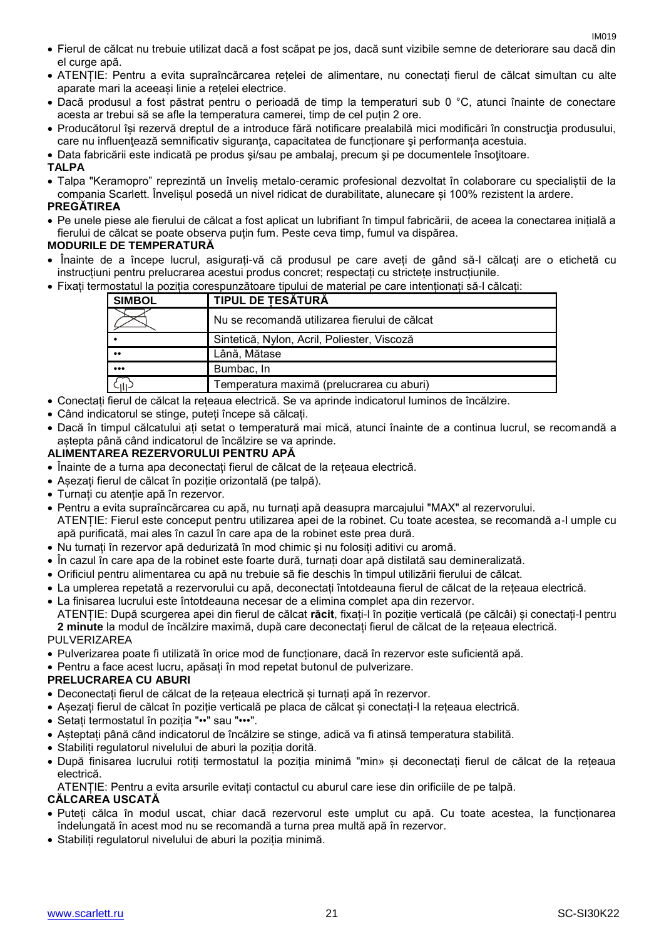- Fierul de călcat nu trebuie utilizat dacă a fost scăpat pe jos, dacă sunt vizibile semne de deteriorare sau dacă din el curge apă.
- ATENȚIE: Pentru a evita supraîncărcarea rețelei de alimentare, nu conectați fierul de călcat simultan cu alte aparate mari la aceeași linie a rețelei electrice.
- Dacă produsul a fost păstrat pentru o perioadă de timp la temperaturi sub 0 °C, atunci înainte de conectare acesta ar trebui să se afle la temperatura camerei, timp de cel puțin 2 ore.
- Producătorul își rezervă dreptul de a introduce fără notificare prealabilă mici modificări în construcţia produsului, care nu influențează semnificativ siguranța, capacitatea de funcționare și performanța acestuia.
- Data fabricării este indicată pe produs şi/sau pe ambalaj, precum şi pe documentele însoţitoare.

#### **TALPA**

 Talpa "Keramopro" reprezintă un înveliș metalo-ceramic profesional dezvoltat în colaborare cu specialiștii de la compania Scarlett. Învelișul posedă un nivel ridicat de durabilitate, alunecare și 100% rezistent la ardere.

#### **PREGĂTIREA**

 Pe unele piese ale fierului de călcat a fost aplicat un lubrifiant în timpul fabricării, de aceea la conectarea inițială a fierului de călcat se poate observa puțin fum. Peste ceva timp, fumul va dispărea.

#### **MODURILE DE TEMPERATURĂ**

- Înainte de a începe lucrul, asigurați-vă că produsul pe care aveți de gând să-l călcați are o etichetă cu instrucțiuni pentru prelucrarea acestui produs concret; respectați cu strictețe instrucțiunile.
- Fixați termostatul la poziția corespunzătoare tipului de material pe care intenționați să-l călcați:

| <b>SIMBOL</b>           | <b>TIPUL DE TESĂTURĂ</b>                      |
|-------------------------|-----------------------------------------------|
|                         | Nu se recomandă utilizarea fierului de călcat |
|                         | Sintetică, Nylon, Acril, Poliester, Viscoză   |
| $\bullet\bullet$        | Lână, Mătase                                  |
| $\bullet\bullet\bullet$ | Bumbac, In                                    |
| ζ <sub>IΙΙ</sub>        | Temperatura maximă (prelucrarea cu aburi)     |

- Conectați fierul de călcat la rețeaua electrică. Se va aprinde indicatorul luminos de încălzire.
- Când indicatorul se stinge, puteți începe să călcați.
- Dacă în timpul călcatului ați setat o temperatură mai mică, atunci înainte de a continua lucrul, se recomandă a astepta până când indicatorul de încălzire se va aprinde.

#### **ALIMENTAREA REZERVORULUI PENTRU APĂ**

- Înainte de a turna apa deconectați fierul de călcat de la rețeaua electrică.
- Așezați fierul de călcat în poziție orizontală (pe talpă).
- Turnați cu atenție apă în rezervor.
- Pentru a evita supraîncărcarea cu apă, nu turnați apă deasupra marcajului "MAX" al rezervorului. ATENȚIE: Fierul este conceput pentru utilizarea apei de la robinet. Cu toate acestea, se recomandă a-l umple cu apă purificată, mai ales în cazul în care apa de la robinet este prea dură.
- Nu turnați în rezervor apă dedurizată în mod chimic și nu folosiți aditivi cu aromă.
- În cazul în care apa de la robinet este foarte dură, turnați doar apă distilată sau demineralizată.
- Orificiul pentru alimentarea cu apă nu trebuie să fie deschis în timpul utilizării fierului de călcat.
- La umplerea repetată a rezervorului cu apă, deconectați întotdeauna fierul de călcat de la rețeaua electrică.
- La finisarea lucrului este întotdeauna necesar de a elimina complet apa din rezervor. ATENȚIE: După scurgerea apei din fierul de călcat **răcit**, fixați-l în poziție verticală (pe călcâi) și conectați-l pentru **2 minute** la modul de încălzire maximă, după care deconectați fierul de călcat de la rețeaua electrică.

#### PULVERIZAREA

- Pulverizarea poate fi utilizată în orice mod de funcționare, dacă în rezervor este suficientă apă.
- Pentru a face acest lucru, apăsați în mod repetat butonul de pulverizare.

#### **PRELUCRAREA CU ABURI**

- Deconectați fierul de călcat de la rețeaua electrică și turnați apă în rezervor.
- Așezați fierul de călcat în poziție verticală pe placa de călcat și conectați-l la rețeaua electrică.
- Setați termostatul în poziția "••" sau "•••".
- Așteptați până când indicatorul de încălzire se stinge, adică va fi atinsă temperatura stabilită.
- Stabiliți regulatorul nivelului de aburi la poziția dorită.
- După finisarea lucrului rotiți termostatul la poziția minimă "min» și deconectați fierul de călcat de la rețeaua electrică.

ATENȚIE: Pentru a evita arsurile evitați contactul cu aburul care iese din orificiile de pe talpă.

#### **CĂLCAREA USCATĂ**

- Puteți călca în modul uscat, chiar dacă rezervorul este umplut cu apă. Cu toate acestea, la funcționarea îndelungată în acest mod nu se recomandă a turna prea multă apă în rezervor.
- Stabiliți regulatorul nivelului de aburi la poziția minimă.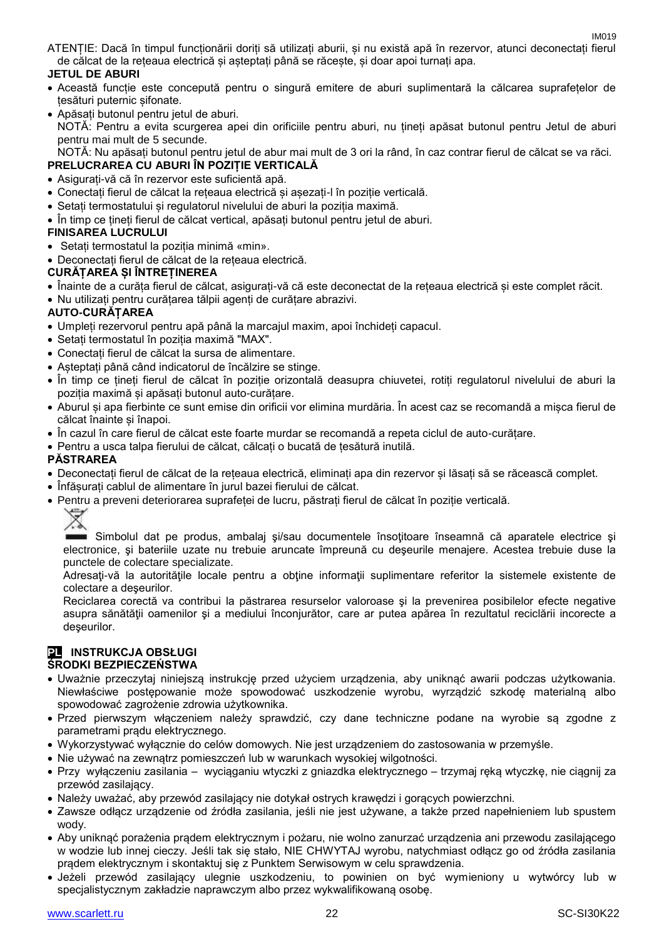IM019 ATENȚIE: Dacă în timpul funcționării doriți să utilizați aburii, și nu există apă în rezervor, atunci deconectați fierul de călcat de la rețeaua electrică și așteptați până se răcește, și doar apoi turnați apa.

#### **JETUL DE ABURI**

- Această funcție este concepută pentru o singură emitere de aburi suplimentară la călcarea suprafețelor de țesături puternic șifonate.
- Apăsați butonul pentru jetul de aburi. NOTĂ: Pentru a evita scurgerea apei din orificiile pentru aburi, nu țineți apăsat butonul pentru Jetul de aburi pentru mai mult de 5 secunde. NOTĂ: Nu apăsați butonul pentru jetul de abur mai mult de 3 ori la rând, în caz contrar fierul de călcat se va răci.

## **PRELUCRAREA CU ABURI ÎN POZIȚIE VERTICALĂ**

- Asigurați-vă că în rezervor este suficientă apă.
- Conectați fierul de călcat la rețeaua electrică și așezați-l în poziție verticală.
- Setați termostatului și regulatorul nivelului de aburi la poziția maximă.
- În timp ce țineți fierul de călcat vertical, apăsați butonul pentru jetul de aburi.

#### **FINISAREA LUCRULUI**

- Setați termostatul la poziția minimă «min».
- Deconectați fierul de călcat de la rețeaua electrică.

#### **CURĂȚAREA ȘI ÎNTREȚINEREA**

- Înainte de a curăța fierul de călcat, asigurați-vă că este deconectat de la rețeaua electrică și este complet răcit.
- Nu utilizați pentru curățarea tălpii agenți de curățare abrazivi.

#### **AUTO-CURĂȚAREA**

- Umpleți rezervorul pentru apă până la marcajul maxim, apoi închideți capacul.
- Setați termostatul în poziția maximă "MAX".
- Conectați fierul de călcat la sursa de alimentare.
- Așteptați până când indicatorul de încălzire se stinge.
- În timp ce țineți fierul de călcat în poziție orizontală deasupra chiuvetei, rotiți regulatorul nivelului de aburi la poziția maximă și apăsați butonul auto-curățare.
- Aburul și apa fierbinte ce sunt emise din orificii vor elimina murdăria. În acest caz se recomandă a mișca fierul de călcat înainte și înapoi.
- În cazul în care fierul de călcat este foarte murdar se recomandă a repeta ciclul de auto-curățare.
- Pentru a usca talpa fierului de călcat, călcați o bucată de țesătură inutilă.

#### **PĂSTRAREA**

- Deconectați fierul de călcat de la rețeaua electrică, eliminați apa din rezervor și lăsați să se răcească complet.
- Înfășurați cablul de alimentare în jurul bazei fierului de călcat.
- Pentru a preveni deteriorarea suprafeței de lucru, păstrați fierul de călcat în poziție verticală.



Simbolul dat pe produs, ambalaj și/sau documentele însoțitoare înseamnă că aparatele electrice și electronice, şi bateriile uzate nu trebuie aruncate împreună cu deşeurile menajere. Acestea trebuie duse la punctele de colectare specializate.

Adresati-vă la autoritățile locale pentru a obține informații suplimentare referitor la sistemele existente de colectare a deşeurilor.

Reciclarea corectă va contribui la păstrarea resurselor valoroase şi la prevenirea posibilelor efecte negative asupra sănătății oamenilor și a mediului înconjurător, care ar putea apărea în rezultatul reciclării incorecte a deşeurilor.

## **PL INSTRUKCJA OBSŁUGI**

#### **ŚRODKI BEZPIECZEŃSTWA**

- Uważnie przeczytaj niniejszą instrukcję przed użyciem urządzenia, aby uniknąć awarii podczas użytkowania. Niewłaściwe postępowanie może spowodować uszkodzenie wyrobu, wyrządzić szkodę materialną albo spowodować zagrożenie zdrowia użytkownika.
- Przed pierwszym włączeniem należy sprawdzić, czy dane techniczne podane na wyrobie są zgodne z parametrami prądu elektrycznego.
- Wykorzystywać wyłącznie do celów domowych. Nie jest urządzeniem do zastosowania w przemyśle.
- Nie używać na zewnątrz pomieszczeń lub w warunkach wysokiej wilgotności.
- Przy wyłączeniu zasilania wyciąganiu wtyczki z gniazdka elektrycznego trzymaj ręką wtyczkę, nie ciągnij za przewód zasilający.
- Należy uważać, aby przewód zasilający nie dotykał ostrych krawędzi i gorących powierzchni.
- Zawsze odłącz urządzenie od źródła zasilania, jeśli nie jest używane, a także przed napełnieniem lub spustem wody.
- Aby uniknąć porażenia prądem elektrycznym i pożaru, nie wolno zanurzać urządzenia ani przewodu zasilającego w wodzie lub innej cieczy. Jeśli tak się stało, NIE CHWYTAJ wyrobu, natychmiast odłącz go od źródła zasilania prądem elektrycznym i skontaktuj się z Punktem Serwisowym w celu sprawdzenia.
- Jeżeli przewód zasilający ulegnie uszkodzeniu, to powinien on być wymieniony u wytwórcy lub w specjalistycznym zakładzie naprawczym albo przez wykwalifikowaną osobę.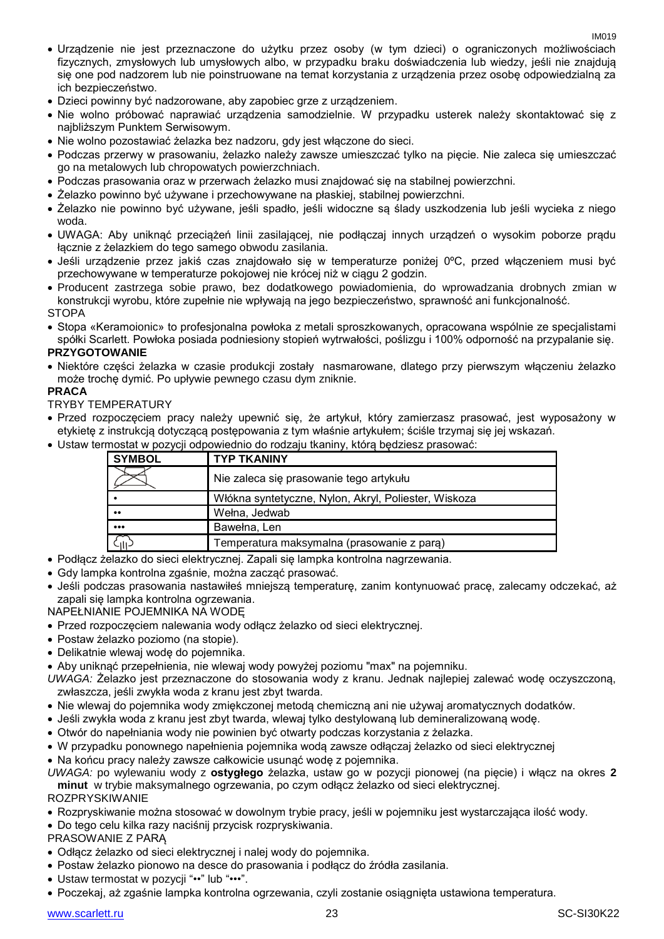- Urządzenie nie jest przeznaczone do użytku przez osoby (w tym dzieci) o ograniczonych możliwościach fizycznych, zmysłowych lub umysłowych albo, w przypadku braku doświadczenia lub wiedzy, jeśli nie znajdują się one pod nadzorem lub nie poinstruowane na temat korzystania z urządzenia przez osobę odpowiedzialną za ich bezpieczeństwo.
- Dzieci powinny być nadzorowane, aby zapobiec grze z urządzeniem.
- Nie wolno próbować naprawiać urządzenia samodzielnie. W przypadku usterek należy skontaktować się z najbliższym Punktem Serwisowym.
- Nie wolno pozostawiać żelazka bez nadzoru, gdy jest włączone do sieci.
- Podczas przerwy w prasowaniu, żelazko należy zawsze umieszczać tylko na pięcie. Nie zaleca się umieszczać go na metalowych lub chropowatych powierzchniach.
- Podczas prasowania oraz w przerwach żelazko musi znajdować się na stabilnej powierzchni.
- Żelazko powinno być używane i przechowywane na płaskiej, stabilnej powierzchni.
- Żelazko nie powinno być używane, jeśli spadło, jeśli widoczne są ślady uszkodzenia lub jeśli wycieka z niego woda.
- UWAGA: Aby uniknąć przeciążeń linii zasilającej, nie podłączaj innych urządzeń o wysokim poborze prądu łącznie z żelazkiem do tego samego obwodu zasilania.
- Jeśli urządzenie przez jakiś czas znajdowało się w temperaturze poniżej 0ºC, przed włączeniem musi być przechowywane w temperaturze pokojowej nie krócej niż w ciągu 2 godzin.
- Producent zastrzega sobie prawo, bez dodatkowego powiadomienia, do wprowadzania drobnych zmian w konstrukcji wyrobu, które zupełnie nie wpływają na jego bezpieczeństwo, sprawność ani funkcjonalność. **STOPA**
- Stopa «Keramoionic» to profesjonalna powłoka z metali sproszkowanych, opracowana wspólnie ze specjalistami spółki Scarlett. Powłoka posiada podniesiony stopień wytrwałości, poślizgu i 100% odporność na przypalanie się.

#### **PRZYGOTOWANIE**

 Niektóre części żelazka w czasie produkcji zostały nasmarowane, dlatego przy pierwszym włączeniu żelazko może trochę dymić. Po upływie pewnego czasu dym zniknie.

#### **PRACA**

#### TRYBY TEMPERATURY

- Przed rozpoczęciem pracy należy upewnić się, że artykuł, który zamierzasz prasować, jest wyposażony w etykietę z instrukcją dotyczącą postępowania z tym właśnie artykułem; ściśle trzymaj się jej wskazań.
- Ustaw termostat w pozycji odpowiednio do rodzaju tkaniny, którą będziesz prasować:

| <b>SYMBOL</b>           | <b>TYP TKANINY</b>                                   |
|-------------------------|------------------------------------------------------|
|                         | Nie zaleca się prasowanie tego artykułu              |
|                         | Włókna syntetyczne, Nylon, Akryl, Poliester, Wiskoza |
| $^{\bullet}$            | Wełna, Jedwab                                        |
| $\bullet\bullet\bullet$ | Bawełna, Len                                         |
| .<br>.ili.              | Temperatura maksymalna (prasowanie z para)           |

- Podłącz żelazko do sieci elektrycznej. Zapali się lampka kontrolna nagrzewania.
- Gdy lampka kontrolna zgaśnie, można zacząć prasować.
- Jeśli podczas prasowania nastawiłeś mniejszą temperaturę, zanim kontynuować pracę, zalecamy odczekać, aż zapali się lampka kontrolna ogrzewania.

NAPEŁNIANIE POJEMNIKA NA WODĘ

- Przed rozpoczęciem nalewania wody odłącz żelazko od sieci elektrycznej.
- Postaw żelazko poziomo (na stopie).
- Delikatnie wlewaj wodę do pojemnika.
- Aby uniknąć przepełnienia, nie wlewaj wody powyżej poziomu "max" na pojemniku.
- *UWAGA:* Żelazko jest przeznaczone do stosowania wody z kranu. Jednak najlepiej zalewać wodę oczyszczoną, zwłaszcza, jeśli zwykła woda z kranu jest zbyt twarda.
- Nie wlewaj do pojemnika wody zmiękczonej metodą chemiczną ani nie używaj aromatycznych dodatków.
- Jeśli zwykła woda z kranu jest zbyt twarda, wlewaj tylko destylowaną lub demineralizowaną wodę.
- Otwór do napełniania wody nie powinien być otwarty podczas korzystania z żelazka.
- W przypadku ponownego napełnienia pojemnika wodą zawsze odłączaj żelazko od sieci elektrycznej
- Na końcu pracy należy zawsze całkowicie usunąć wodę z pojemnika.

*UWAGA:* po wylewaniu wody z **ostygłego** żelazka, ustaw go w pozycji pionowej (na pięcie) i włącz na okres **2 minut** w trybie maksymalnego ogrzewania, po czym odłącz żelazko od sieci elektrycznej.

ROZPRYSKIWANIE

- Rozpryskiwanie można stosować w dowolnym trybie pracy, jeśli w pojemniku jest wystarczająca ilość wody.
- Do tego celu kilka razy naciśnij przycisk rozpryskiwania.
- PRASOWANIE Z PARĄ
- Odłącz żelazko od sieci elektrycznej i nalej wody do pojemnika.
- Postaw żelazko pionowo na desce do prasowania i podłącz do źródła zasilania.
- Ustaw termostat w pozycji "••" lub "•••".
- Poczekaj, aż zgaśnie lampka kontrolna ogrzewania, czyli zostanie osiągnięta ustawiona temperatura.